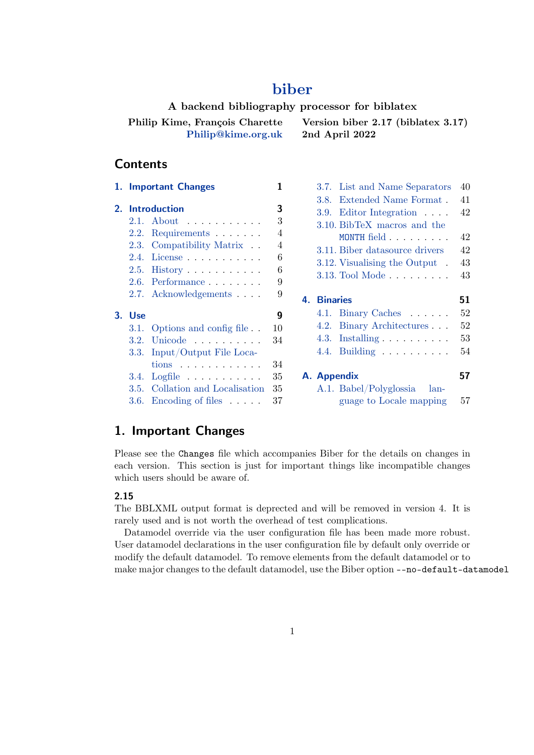# **[biber](http://biblatex-biber.sourceforge.net)**

**A backend bibliography processor for biblatex Philip Kime, François Charette [Philip@kime.org.uk](mailto:Philip@kime.org.uk) Version biber 2.17 (biblatex 3.17) 2nd April 2022**

## **Contents**

|    |            | 1. Important Changes             | 1              | 3.             |
|----|------------|----------------------------------|----------------|----------------|
|    |            |                                  |                | 3.             |
| 2. |            | <b>Introduction</b>              | 3              | 3.             |
|    | 2.1.       | $About \dots \dots \dots$        | 3              | 3.             |
|    |            | 2.2. Requirements $\ldots$       | $\overline{4}$ |                |
|    |            | 2.3. Compatibility Matrix        | $\overline{4}$ | 3.             |
|    |            | $2.4.$ License                   | 6              | 3.             |
|    |            | 2.5. History                     | 6              |                |
|    |            | $2.6.$ Performance $\ldots$      | 9              | 3.             |
|    |            | 2.7. Acknowledgements $\ldots$ . | 9              | В<br>4.        |
| 3. | <b>Use</b> |                                  | 9              | 4.             |
|    | 3.1.       | Options and config file          | 10             | 4.             |
|    | 3.2.       | Unicode                          | 34             | 4.             |
|    | 3.3.       | Input/Output File Loca-          |                | $\overline{4}$ |
|    |            | $tions$                          | 34             |                |
|    | 3.4.       | $Logfile$                        | 35             | A. A           |
|    |            | 3.5. Collation and Localisation  | 35             | А              |
|    |            | 3.6. Encoding of files $\dots$ . | 37             |                |

|             | 3.7. List and Name Separators          | 40 |
|-------------|----------------------------------------|----|
|             | 3.8. Extended Name Format.             | 41 |
|             | 3.9. Editor Integration $\dots$        | 42 |
|             | 3.10. BibTeX macros and the            |    |
|             | MONTH field                            | 42 |
|             | 3.11. Biber datasource drivers         | 42 |
|             | 3.12. Visualising the Output.          | 43 |
|             | 3.13. Tool Mode                        | 43 |
|             |                                        |    |
|             |                                        |    |
| 4. Binaries |                                        | 51 |
|             | 4.1. Binary Caches                     | 52 |
|             | 4.2. Binary Architectures              | 52 |
|             | 4.3. Installing $\ldots \ldots \ldots$ | 53 |
|             | 4.4. Building $\ldots \ldots \ldots$   | 54 |
|             |                                        |    |
| A. Appendix |                                        | 57 |
|             | A.1. Babel/Polyglossia lan-            |    |

# **1. Important Changes**

Please see the Changes file which accompanies Biber for the details on changes in each version. This section is just for important things like incompatible changes which users should be aware of.

## **2.15**

The BBLXML output format is deprected and will be removed in version 4. It is rarely used and is not worth the overhead of test complications.

Datamodel override via the user configuration file has been made more robust. User datamodel declarations in the user configuration file by default only override or modify the default datamodel. To remove elements from the default datamodel or to make major changes to the default datamodel, use the Biber option --no-default-datamodel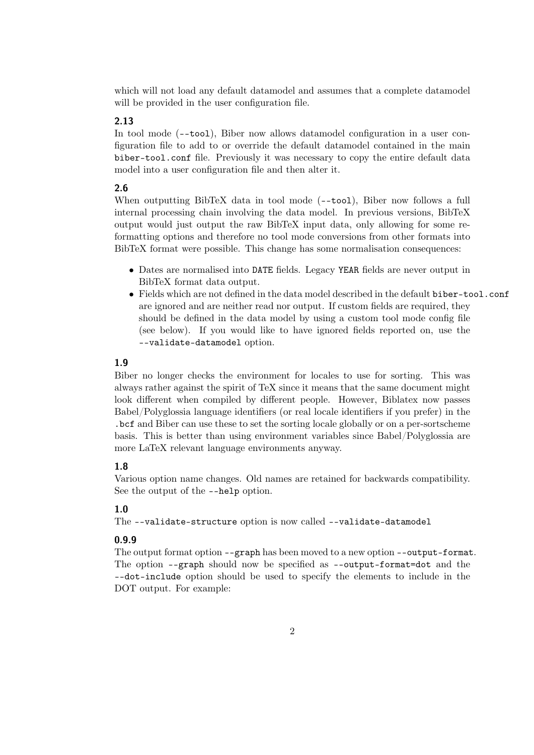which will not load any default datamodel and assumes that a complete datamodel will be provided in the user configuration file.

### **2.13**

In tool mode (--tool), Biber now allows datamodel configuration in a user configuration file to add to or override the default datamodel contained in the main biber-tool.conf file. Previously it was necessary to copy the entire default data model into a user configuration file and then alter it.

## **2.6**

When outputting BibTeX data in tool mode ( $\text{-}$ tool), Biber now follows a full internal processing chain involving the data model. In previous versions, BibTeX output would just output the raw BibTeX input data, only allowing for some reformatting options and therefore no tool mode conversions from other formats into BibTeX format were possible. This change has some normalisation consequences:

- Dates are normalised into DATE fields. Legacy YEAR fields are never output in BibTeX format data output.
- Fields which are not defined in the data model described in the default biber-tool.conf are ignored and are neither read nor output. If custom fields are required, they should be defined in the data model by using a custom tool mode config file (see below). If you would like to have ignored fields reported on, use the --validate-datamodel option.

## **1.9**

Biber no longer checks the environment for locales to use for sorting. This was always rather against the spirit of TeX since it means that the same document might look different when compiled by different people. However, Biblatex now passes Babel/Polyglossia language identifiers (or real locale identifiers if you prefer) in the .bcf and Biber can use these to set the sorting locale globally or on a per-sortscheme basis. This is better than using environment variables since Babel/Polyglossia are more LaTeX relevant language environments anyway.

## **1.8**

Various option name changes. Old names are retained for backwards compatibility. See the output of the --help option.

## **1.0**

The --validate-structure option is now called --validate-datamodel

## **0.9.9**

The output format option --graph has been moved to a new option --output-format. The option --graph should now be specified as --output-format=dot and the --dot-include option should be used to specify the elements to include in the DOT output. For example: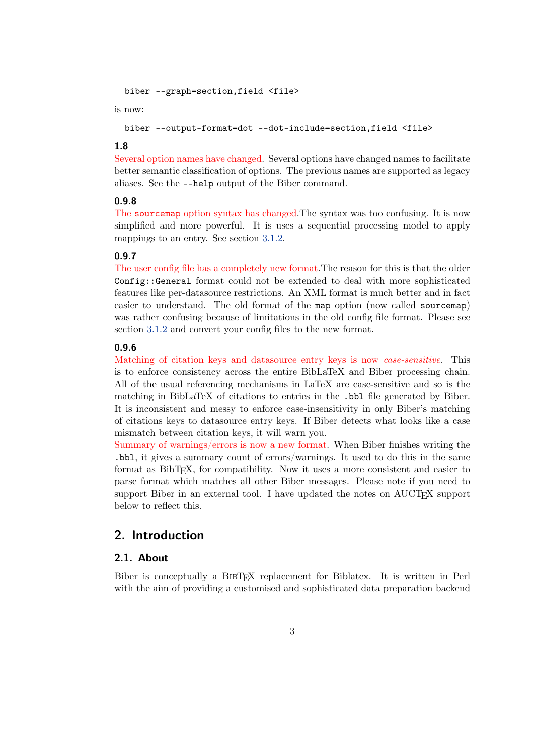```
biber --graph=section,field <file>
```
is now:

biber --output-format=dot --dot-include=section,field <file>

## **1.8**

Several option names have changed. Several options have changed names to facilitate better semantic classification of options. The previous names are supported as legacy aliases. See the --help output of the Biber command.

## **0.9.8**

The sourcemap option syntax has changed.The syntax was too confusing. It is now simplified and more powerful. It is uses a sequential processing model to apply mappings to an entry. See section [3.1.2.](#page-14-0)

#### **0.9.7**

The user config file has a completely new format.The reason for this is that the older Config::General format could not be extended to deal with more sophisticated features like per-datasource restrictions. An XML format is much better and in fact easier to understand. The old format of the map option (now called sourcemap) was rather confusing because of limitations in the old config file format. Please see section [3.1.2](#page-14-0) and convert your config files to the new format.

## **0.9.6**

Matching of citation keys and datasource entry keys is now *case-sensitive*. This is to enforce consistency across the entire BibLaTeX and Biber processing chain. All of the usual referencing mechanisms in LaTeX are case-sensitive and so is the matching in BibLaTeX of citations to entries in the .bbl file generated by Biber. It is inconsistent and messy to enforce case-insensitivity in only Biber's matching of citations keys to datasource entry keys. If Biber detects what looks like a case mismatch between citation keys, it will warn you.

Summary of warnings/errors is now a new format. When Biber finishes writing the .bbl, it gives a summary count of errors/warnings. It used to do this in the same format as BibTEX, for compatibility. Now it uses a more consistent and easier to parse format which matches all other Biber messages. Please note if you need to support Biber in an external tool. I have updated the notes on AUCTEX support below to reflect this.

## **2. Introduction**

## **2.1. About**

Biber is conceptually a BIBTEX replacement for Biblatex. It is written in Perl with the aim of providing a customised and sophisticated data preparation backend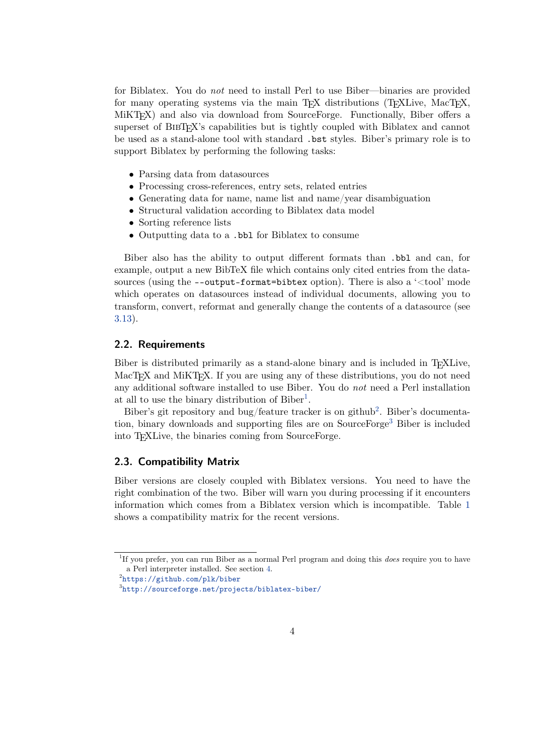<span id="page-3-0"></span>for Biblatex. You do *not* need to install Perl to use Biber—binaries are provided for many operating systems via the main T<sub>E</sub>X distributions (T<sub>E</sub>XLive, MacT<sub>E</sub>X, MiKTEX) and also via download from SourceForge. Functionally, Biber offers a superset of BIBTEX's capabilities but is tightly coupled with Biblatex and cannot be used as a stand-alone tool with standard .bst styles. Biber's primary role is to support Biblatex by performing the following tasks:

- Parsing data from datasources
- Processing cross-references, entry sets, related entries
- Generating data for name, name list and name/year disambiguation
- Structural validation according to Biblatex data model
- Sorting reference lists
- Outputting data to a .bbl for Biblatex to consume

Biber also has the ability to output different formats than .bbl and can, for example, output a new BibTeX file which contains only cited entries from the datasources (using the --output-format=bibtex option). There is also a '<tool' mode which operates on datasources instead of individual documents, allowing you to transform, convert, reformat and generally change the contents of a datasource (see [3.13\)](#page-42-0).

#### **2.2. Requirements**

Biber is distributed primarily as a stand-alone binary and is included in TEXLive, MacT<sub>EX</sub> and MiKT<sub>EX</sub>. If you are using any of these distributions, you do not need any additional software installed to use Biber. You do *not* need a Perl installation at all to use the binary distribution of Biber<sup>1</sup>.

Biber's git repository and bug/feature tracker is on github<sup>2</sup>. Biber's documentation, binary downloads and supporting files are on SourceForge<sup>3</sup> Biber is included into TEXLive, the binaries coming from SourceForge.

## **2.3. Compatibility Matrix**

Biber versions are closely coupled with Biblatex versions. You need to have the right combination of the two. Biber will warn you during processing if it encounters information which comes from a Biblatex version which is incompatible. Table [1](#page-4-0) shows a compatibility matrix for the recent versions.

<sup>1</sup> If you prefer, you can run Biber as a normal Perl program and doing this *does* require you to have a Perl interpreter installed. See section [4.](#page-50-0)

 $^{2}$ <https://github.com/plk/biber>

 $^3$ <http://sourceforge.net/projects/biblatex-biber/>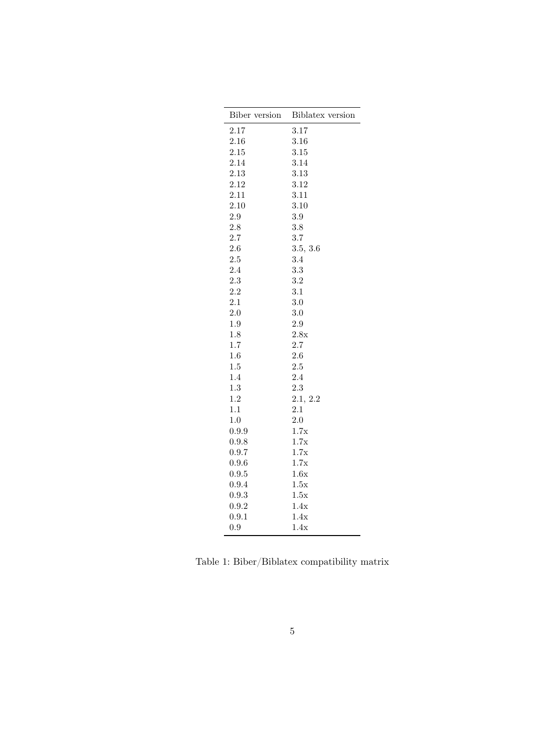<span id="page-4-0"></span>

| Biber version | Biblatex version |
|---------------|------------------|
| 2.17          | 3.17             |
| 2.16          | 3.16             |
| 2.15          | 3.15             |
| 2.14          | 3.14             |
| 2.13          | 3.13             |
| 2.12          | 3.12             |
| 2.11          | 3.11             |
| 2.10          | 3.10             |
| 2.9           | 3.9              |
| 2.8           | 3.8              |
| 2.7           | 3.7              |
| 2.6           | 3.5, 3.6         |
| 2.5           | 3.4              |
| 2.4           | 3.3              |
| 2.3           | 3.2              |
| 2.2           | 3.1              |
| 2.1           | 3.0              |
| 2.0           | 3.0              |
| 1.9           | 2.9              |
| 1.8           | 2.8x             |
| 1.7           | 2.7              |
| 1.6           | 2.6              |
| 1.5           | 2.5              |
| 1.4           | 2.4              |
| 1.3           | 2.3              |
| 1.2           | 2.1, 2.2         |
| 1.1           | 2.1              |
| 1.0           | 2.0              |
| 0.9.9         | 1.7x             |
| 0.9.8         | 1.7x             |
| 0.9.7         | 1.7x             |
| 0.9.6         | 1.7x             |
| 0.9.5         | 1.6x             |
| 0.9.4         | 1.5x             |
| 0.9.3         | 1.5x             |
| 0.9.2         | 1.4x             |
| 0.9.1         | 1.4x             |
| 0.9           | 1.4x             |

Table 1: Biber/Biblatex compatibility matrix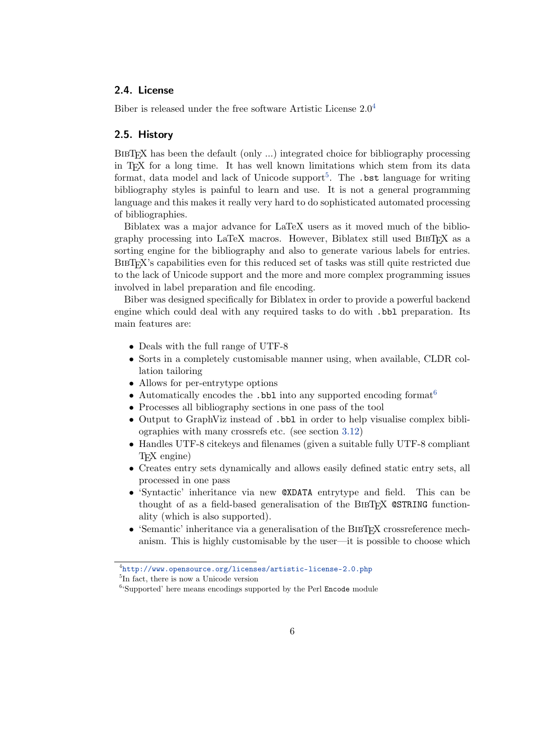### <span id="page-5-0"></span>**2.4. License**

Biber is released under the free software Artistic License 2.0<sup>4</sup>

## **2.5. History**

BIBTEX has been the default (only …) integrated choice for bibliography processing in TEX for a long time. It has well known limitations which stem from its data format, data model and lack of Unicode support<sup>5</sup>. The  $.\,\mathsf{bst}$  language for writing bibliography styles is painful to learn and use. It is not a general programming language and this makes it really very hard to do sophisticated automated processing of bibliographies.

Biblatex was a major advance for LaTeX users as it moved much of the bibliography processing into LaTeX macros. However, Biblatex still used BIBTEX as a sorting engine for the bibliography and also to generate various labels for entries. BIBTEX's capabilities even for this reduced set of tasks was still quite restricted due to the lack of Unicode support and the more and more complex programming issues involved in label preparation and file encoding.

Biber was designed specifically for Biblatex in order to provide a powerful backend engine which could deal with any required tasks to do with .bbl preparation. Its main features are:

- Deals with the full range of UTF-8
- Sorts in a completely customisable manner using, when available, CLDR collation tailoring
- Allows for per-entrytype options
- Automatically encodes the  $.$ bbl into any supported encoding format<sup>6</sup>
- Processes all bibliography sections in one pass of the tool
- Output to GraphViz instead of .bbl in order to help visualise complex bibliographies with many crossrefs etc. (see section [3.12\)](#page-42-0)
- Handles UTF-8 citekeys and filenames (given a suitable fully UTF-8 compliant TEX engine)
- Creates entry sets dynamically and allows easily defined static entry sets, all processed in one pass
- 'Syntactic' inheritance via new @XDATA entrytype and field. This can be thought of as a field-based generalisation of the BIBT<sub>EX</sub> CSTRING functionality (which is also supported).
- 'Semantic' inheritance via a generalisation of the BIBTEX crossreference mechanism. This is highly customisable by the user—it is possible to choose which

<sup>4</sup> <http://www.opensource.org/licenses/artistic-license-2.0.php>

<sup>5</sup> In fact, there is now a Unicode version

 $6$ 'Supported' here means encodings supported by the Perl Encode module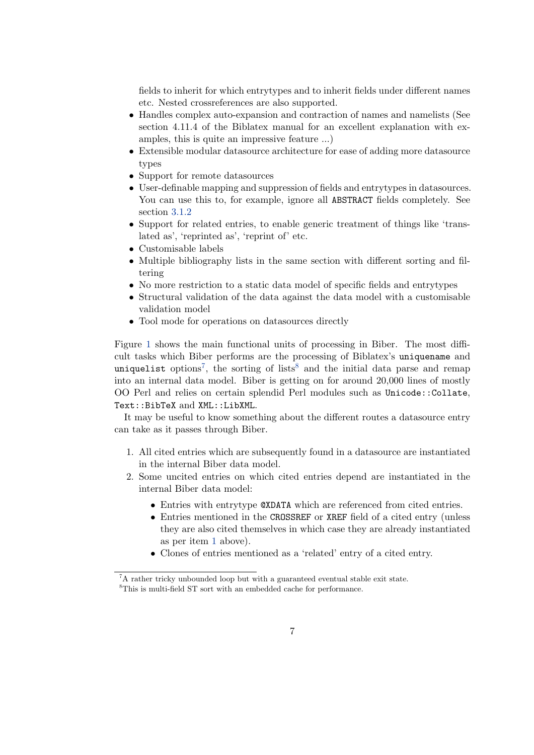fields to inherit for which entrytypes and to inherit fields under different names etc. Nested crossreferences are also supported.

- Handles complex auto-expansion and contraction of names and namelists (See section 4.11.4 of the Biblatex manual for an excellent explanation with examples, this is quite an impressive feature …)
- Extensible modular datasource architecture for ease of adding more datasource types
- Support for remote datasources
- User-definable mapping and suppression of fields and entrytypes in datasources. You can use this to, for example, ignore all ABSTRACT fields completely. See section [3.1.2](#page-14-0)
- Support for related entries, to enable generic treatment of things like 'translated as', 'reprinted as', 'reprint of' etc.
- Customisable labels
- Multiple bibliography lists in the same section with different sorting and filtering
- No more restriction to a static data model of specific fields and entrytypes
- Structural validation of the data against the data model with a customisable validation model
- Tool mode for operations on datasources directly

Figure [1](#page-7-0) shows the main functional units of processing in Biber. The most difficult tasks which Biber performs are the processing of Biblatex's uniquename and uniquelist options<sup>7</sup>, the sorting of lists<sup>8</sup> and the initial data parse and remap into an internal data model. Biber is getting on for around 20,000 lines of mostly OO Perl and relies on certain splendid Perl modules such as Unicode::Collate, Text::BibTeX and XML::LibXML.

It may be useful to know something about the different routes a datasource entry can take as it passes through Biber.

- 1. All cited entries which are subsequently found in a datasource are instantiated in the internal Biber data model.
- 2. Some uncited entries on which cited entries depend are instantiated in the internal Biber data model:
	- Entries with entrytype @XDATA which are referenced from cited entries.
	- Entries mentioned in the CROSSREF or XREF field of a cited entry (unless they are also cited themselves in which case they are already instantiated as per item 1 above).
	- Clones of entries mentioned as a 'related' entry of a cited entry.

 ${}^{7}$ A rather tricky unbounded loop but with a guaranteed eventual stable exit state.

<sup>8</sup>This is multi-field ST sort with an embedded cache for performance.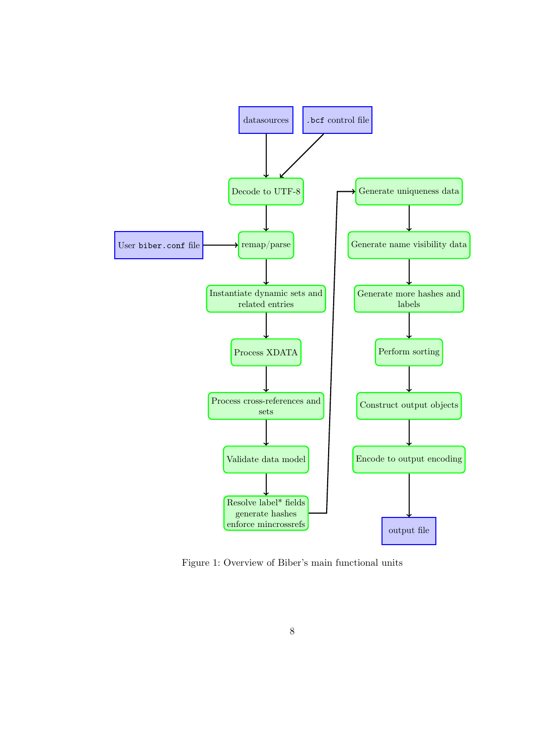<span id="page-7-0"></span>

Figure 1: Overview of Biber's main functional units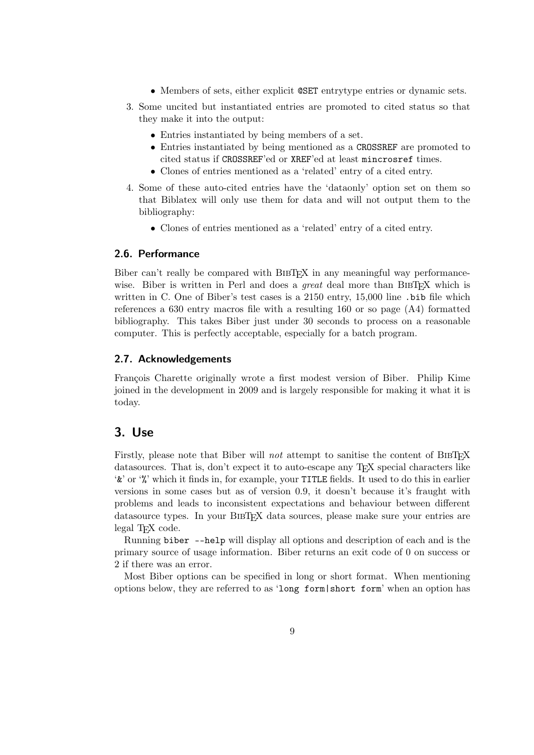- Members of sets, either explicit @SET entrytype entries or dynamic sets.
- <span id="page-8-0"></span>3. Some uncited but instantiated entries are promoted to cited status so that they make it into the output:
	- Entries instantiated by being members of a set.
	- Entries instantiated by being mentioned as a CROSSREF are promoted to cited status if CROSSREF'ed or XREF'ed at least mincrosref times.
	- Clones of entries mentioned as a 'related' entry of a cited entry.
- 4. Some of these auto-cited entries have the 'dataonly' option set on them so that Biblatex will only use them for data and will not output them to the bibliography:
	- Clones of entries mentioned as a 'related' entry of a cited entry.

### **2.6. Performance**

Biber can't really be compared with BIBTEX in any meaningful way performancewise. Biber is written in Perl and does a *great* deal more than BIBT<sub>EX</sub> which is written in C. One of Biber's test cases is a 2150 entry, 15,000 line .bib file which references a 630 entry macros file with a resulting 160 or so page (A4) formatted bibliography. This takes Biber just under 30 seconds to process on a reasonable computer. This is perfectly acceptable, especially for a batch program.

#### **2.7. Acknowledgements**

François Charette originally wrote a first modest version of Biber. Philip Kime joined in the development in 2009 and is largely responsible for making it what it is today.

## **3. Use**

Firstly, please note that Biber will *not* attempt to sanitise the content of BIBT<sub>E</sub>X datasources. That is, don't expect it to auto-escape any TEX special characters like '&' or '%' which it finds in, for example, your TITLE fields. It used to do this in earlier versions in some cases but as of version 0.9, it doesn't because it's fraught with problems and leads to inconsistent expectations and behaviour between different datasource types. In your BIBTEX data sources, please make sure your entries are legal T<sub>EX</sub> code.

Running biber --help will display all options and description of each and is the primary source of usage information. Biber returns an exit code of 0 on success or 2 if there was an error.

Most Biber options can be specified in long or short format. When mentioning options below, they are referred to as 'long form|short form' when an option has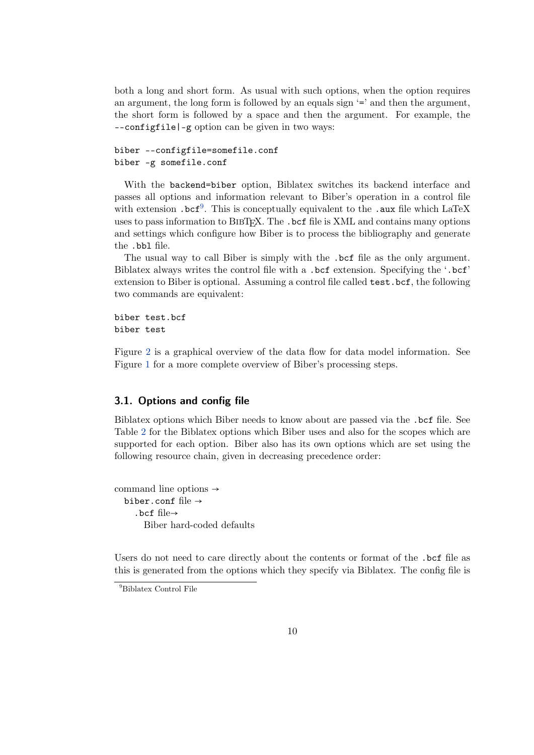<span id="page-9-0"></span>both a long and short form. As usual with such options, when the option requires an argument, the long form is followed by an equals sign '=' and then the argument, the short form is followed by a space and then the argument. For example, the --configfile|-g option can be given in two ways:

```
biber --configfile=somefile.conf
biber -g somefile.conf
```
With the backend=biber option, Biblatex switches its backend interface and passes all options and information relevant to Biber's operation in a control file with extension .bcf<sup>9</sup>. This is conceptually equivalent to the .aux file which LaTeX uses to pass information to BIBTEX. The .bcf file is XML and contains many options and settings which configure how Biber is to process the bibliography and generate the .bbl file.

The usual way to call Biber is simply with the .bcf file as the only argument. Biblatex always writes the control file with a .bcf extension. Specifying the '.bcf' extension to Biber is optional. Assuming a control file called test.bcf, the following two commands are equivalent:

biber test.bcf biber test

Figure [2](#page-11-0) is a graphical overview of the data flow for data model information. See Figure [1](#page-7-0) for a more complete overview of Biber's processing steps.

## **3.1. Options and config file**

Biblatex options which Biber needs to know about are passed via the .bcf file. See Table [2](#page-10-0) for the Biblatex options which Biber uses and also for the scopes which are supported for each option. Biber also has its own options which are set using the following resource chain, given in decreasing precedence order:

command line options → biber.conf file  $\rightarrow$ .bcf file→ Biber hard-coded defaults

Users do not need to care directly about the contents or format of the .bcf file as this is generated from the options which they specify via Biblatex. The config file is

<sup>&</sup>lt;sup>9</sup>Biblatex Control File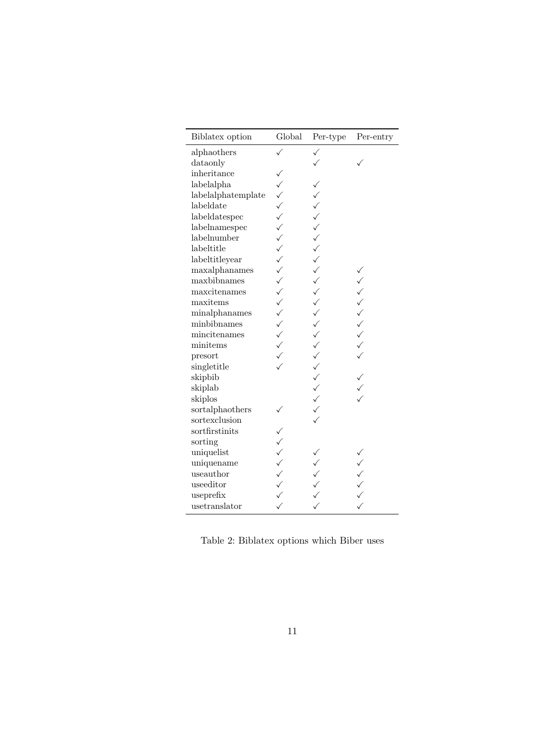<span id="page-10-0"></span>

| Biblatex option    | Global                                                          | Per-type   | Per-entry |
|--------------------|-----------------------------------------------------------------|------------|-----------|
| alphaothers        |                                                                 | ✓          |           |
| dataonly           |                                                                 |            |           |
| inheritance        |                                                                 |            |           |
| labelalpha         | $\checkmark$                                                    |            |           |
| labelalphatemplate |                                                                 |            |           |
| labeldate          | $\begin{array}{c}\n\searrow\\ \searrow\\ \swarrow\end{array}$   | くくくくへんへんへん |           |
| labeldatespec      |                                                                 |            |           |
| labelnamespec      | $\checkmark$                                                    |            |           |
| labelnumber        | $\checkmark$                                                    |            |           |
| labeltitle         | $\sqrt$                                                         |            |           |
| labeltitleyear     |                                                                 |            |           |
| maxalphanames      | $\checkmark$                                                    |            |           |
| maxbibnames        | $\checkmark$                                                    |            |           |
| maxcitenames       | $\checkmark$                                                    |            | くくくくく     |
| maxitems           | $\checkmark$                                                    | くくへくくくへん   |           |
| minalphanames      | $\checkmark$                                                    |            |           |
| minbibnames        | $\checkmark$                                                    |            |           |
| mincitenames       | $\begin{array}{c}\n\searrow\\ \searrow\\ \searrow\n\end{array}$ |            | $\sqrt{}$ |
| minitems           |                                                                 |            |           |
| presort            |                                                                 |            |           |
| singletitle        |                                                                 |            |           |
| skipbib            |                                                                 |            |           |
| skiplab            |                                                                 |            |           |
| skiplos            |                                                                 |            |           |
| sortalphaothers    |                                                                 |            |           |
| sortexclusion      |                                                                 |            |           |
| sortfirstinits     |                                                                 |            |           |
| sorting            | $\checkmark$                                                    |            |           |
| uniquelist         | $\checkmark$                                                    |            |           |
| uniquename         | $\checkmark$                                                    |            |           |
| useauthor          | $\begin{array}{c} \n\searrow$                                   |            |           |
| useeditor          |                                                                 |            |           |
| useprefix          |                                                                 |            |           |
| usetranslator      |                                                                 |            |           |

Table 2: Biblatex options which Biber uses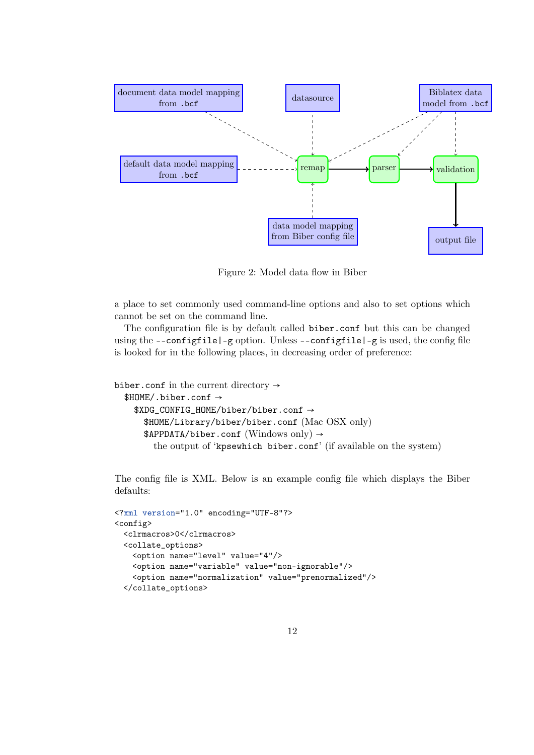<span id="page-11-0"></span>

Figure 2: Model data flow in Biber

a place to set commonly used command-line options and also to set options which cannot be set on the command line.

The configuration file is by default called biber.conf but this can be changed using the  $--\text{configfile}$   $|-g$  option. Unless  $--\text{configfile}$   $|-g$  is used, the config file is looked for in the following places, in decreasing order of preference:

```
biber.conf in the current directory \rightarrow$HOME/.biber.conf →
    $XDG_CONFIG_HOME/biber/biber.conf →
       $HOME/Library/biber/biber.conf (Mac OSX only)
       \texttt{APPDATA/biber.comf} (Windows only) \rightarrowthe output of 'kpsewhich biber.conf' (if available on the system)
```
The config file is XML. Below is an example config file which displays the Biber defaults:

```
<?xml version="1.0" encoding="UTF-8"?>
<config>
 <clrmacros>0</clrmacros>
 <collate_options>
   <option name="level" value="4"/>
   <option name="variable" value="non-ignorable"/>
   <option name="normalization" value="prenormalized"/>
 </collate_options>
```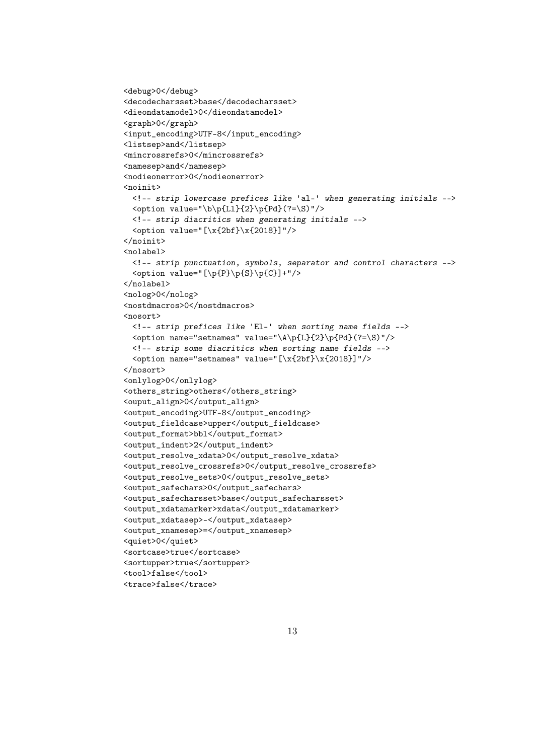```
<debug>0</debug>
<decodecharsset>base</decodecharsset>
<dieondatamodel>0</dieondatamodel>
<graph>0</graph>
<input_encoding>UTF-8</input_encoding>
<listsep>and</listsep>
<mincrossrefs>0</mincrossrefs>
<namesep>and</namesep>
<nodieonerror>0</nodieonerror>
<noinit>
  <!-- strip lowercase prefices like 'al-' when generating initials -->
  \phi value="\b\p{Ll}{2}\p{Pd}(?=\S)"/>
  <!-- strip diacritics when generating initials -->
  \check{\mathrm{value}} = "[\x{2bf}\x{2018}]"/>
</noinit>
<nolabel>
  <!-- strip punctuation, symbols, separator and control characters -->
  \check{\phi} value="[\p{P}\p{S}\p{C}]+"/>
</nolabel>
<nolog>0</nolog>
<nostdmacros>0</nostdmacros>
<nosort>
 <!-- strip prefices like 'El-' when sorting name fields -->
  \phi /> <option name="setnames" value="\A\p{L}{2}\p{Pd}(?=\S)"/>
  <!-- strip some diacritics when sorting name fields -->
  \check{\mathrm{option}} name="setnames" value="[\x{2bf}\x{2018}]"/>
</nosort>
<onlylog>0</onlylog>
<others_string>others</others_string>
<ouput_align>0</output_align>
<output_encoding>UTF-8</output_encoding>
<output_fieldcase>upper</output_fieldcase>
<output_format>bbl</output_format>
<output_indent>2</output_indent>
<output_resolve_xdata>0</output_resolve_xdata>
<output_resolve_crossrefs>0</output_resolve_crossrefs>
<output_resolve_sets>0</output_resolve_sets>
<output_safechars>0</output_safechars>
<output_safecharsset>base</output_safecharsset>
<output_xdatamarker>xdata</output_xdatamarker>
<output_xdatasep>-</output_xdatasep>
<output_xnamesep>=</output_xnamesep>
<quiet>0</quiet>
<sortcase>true</sortcase>
<sortupper>true</sortupper>
<tool>false</tool>
<trace>false</trace>
```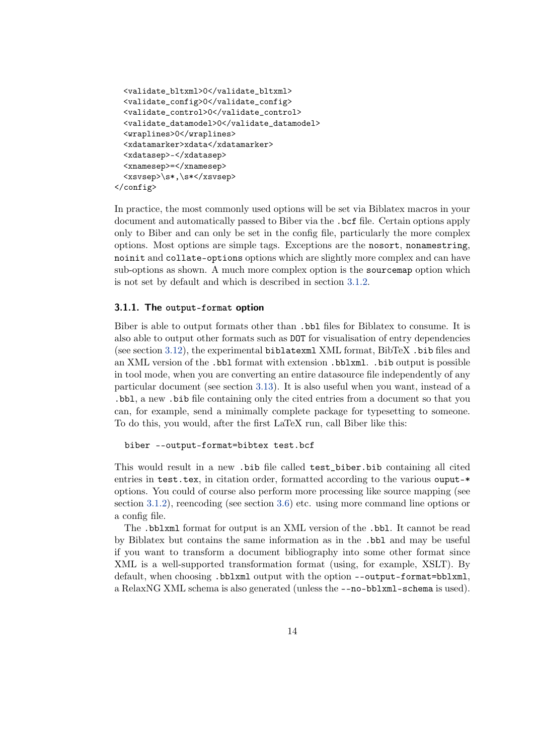```
<validate_bltxml>0</validate_bltxml>
 <validate_config>0</validate_config>
 <validate_control>0</validate_control>
 <validate_datamodel>0</validate_datamodel>
 <wraplines>0</wraplines>
 <xdatamarker>xdata</xdatamarker>
 <xdatasep>-</xdatasep>
 <xnamesep>=</xnamesep>
  <xsvsep>\s*,\s*</xsvsep>
</config>
```
In practice, the most commonly used options will be set via Biblatex macros in your document and automatically passed to Biber via the .bcf file. Certain options apply only to Biber and can only be set in the config file, particularly the more complex options. Most options are simple tags. Exceptions are the nosort, nonamestring, noinit and collate-options options which are slightly more complex and can have sub-options as shown. A much more complex option is the sourcemap option which is not set by default and which is described in section [3.1.2.](#page-14-0)

#### **3.1.1. The output-format option**

Biber is able to output formats other than .bbl files for Biblatex to consume. It is also able to output other formats such as DOT for visualisation of entry dependencies (see section [3.12\)](#page-42-0), the experimental biblatexml XML format, BibTeX .bib files and an XML version of the .bbl format with extension .bblxml. .bib output is possible in tool mode, when you are converting an entire datasource file independently of any particular document (see section [3.13\)](#page-42-0). It is also useful when you want, instead of a .bbl, a new .bib file containing only the cited entries from a document so that you can, for example, send a minimally complete package for typesetting to someone. To do this, you would, after the first LaTeX run, call Biber like this:

#### biber --output-format=bibtex test.bcf

This would result in a new .bib file called test\_biber.bib containing all cited entries in test.tex, in citation order, formatted according to the various ouput-\* options. You could of course also perform more processing like source mapping (see section [3.1.2\)](#page-14-0), reencoding (see section [3.6\)](#page-36-0) etc. using more command line options or a config file.

The .bblxml format for output is an XML version of the .bbl. It cannot be read by Biblatex but contains the same information as in the .bbl and may be useful if you want to transform a document bibliography into some other format since XML is a well-supported transformation format (using, for example, XSLT). By default, when choosing .bblxml output with the option --output-format=bblxml, a RelaxNG XML schema is also generated (unless the --no-bblxml-schema is used).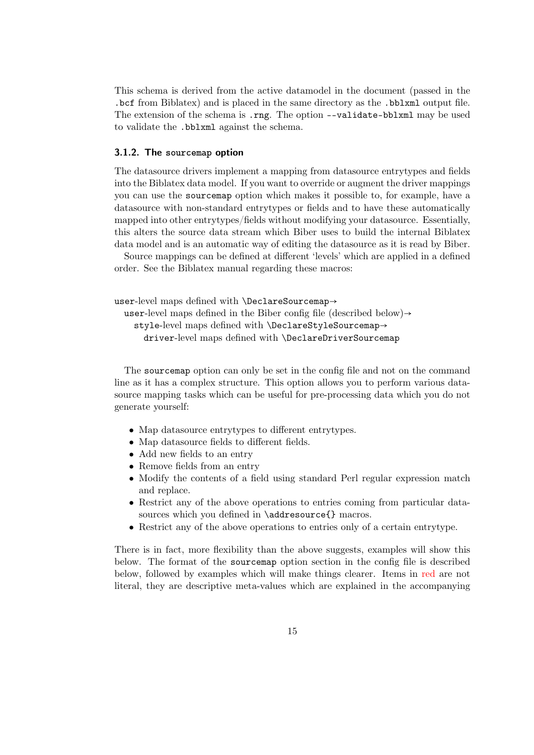<span id="page-14-0"></span>This schema is derived from the active datamodel in the document (passed in the .bcf from Biblatex) and is placed in the same directory as the .bblxml output file. The extension of the schema is .rng. The option --validate-bblxml may be used to validate the .bblxml against the schema.

#### **3.1.2. The sourcemap option**

The datasource drivers implement a mapping from datasource entrytypes and fields into the Biblatex data model. If you want to override or augment the driver mappings you can use the sourcemap option which makes it possible to, for example, have a datasource with non-standard entrytypes or fields and to have these automatically mapped into other entrytypes/fields without modifying your datasource. Essentially, this alters the source data stream which Biber uses to build the internal Biblatex data model and is an automatic way of editing the datasource as it is read by Biber.

Source mappings can be defined at different 'levels' which are applied in a defined order. See the Biblatex manual regarding these macros:

```
user-level maps defined with \DeclareSourcemap→
```

```
user-level maps defined in the Biber config file (described below)\rightarrow
```
style-level maps defined with \DeclareStyleSourcemap→

driver-level maps defined with \DeclareDriverSourcemap

The sourcemap option can only be set in the config file and not on the command line as it has a complex structure. This option allows you to perform various datasource mapping tasks which can be useful for pre-processing data which you do not generate yourself:

- Map datasource entrytypes to different entrytypes.
- Map datasource fields to different fields.
- Add new fields to an entry
- Remove fields from an entry
- Modify the contents of a field using standard Perl regular expression match and replace.
- Restrict any of the above operations to entries coming from particular datasources which you defined in \addresource{} macros.
- Restrict any of the above operations to entries only of a certain entrytype.

There is in fact, more flexibility than the above suggests, examples will show this below. The format of the sourcemap option section in the config file is described below, followed by examples which will make things clearer. Items in red are not literal, they are descriptive meta-values which are explained in the accompanying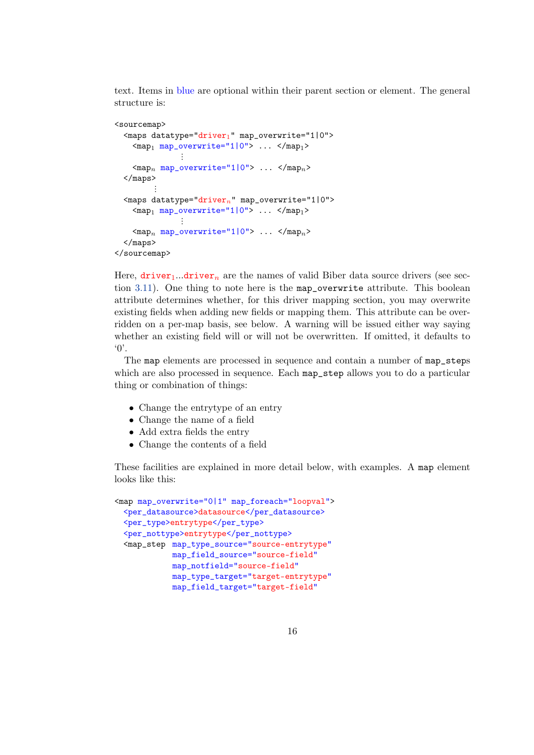text. Items in blue are optional within their parent section or element. The general structure is:

```
<sourcemap>
  \langle \text{maps d} \text{atative} = "driver_1" map_overwrite="1|0" \rangle\langle map_1 map_overwrite="1|0" \rangle ... \langle map_1 \rangle⋮
     <mapn map_overwrite="1|0"> ... </mapn>
  </maps>
           ⋮
  <maps datatype="drivern" map_overwrite="1|0">
     \langle map_1 map_overwrite="1|0" \rangle ... \langle map_1 \rangle⋮
     <mapn map_overwrite="1|0"> ... </mapn>
  </maps>
</sourcemap>
```
Here,  $\text{driver}_1 \ldots \text{driver}_n$  are the names of valid Biber data source drivers (see section [3.11\)](#page-41-0). One thing to note here is the map\_overwrite attribute. This boolean attribute determines whether, for this driver mapping section, you may overwrite existing fields when adding new fields or mapping them. This attribute can be overridden on a per-map basis, see below. A warning will be issued either way saying whether an existing field will or will not be overwritten. If omitted, it defaults to '0'.

The map elements are processed in sequence and contain a number of map\_steps which are also processed in sequence. Each map\_step allows you to do a particular thing or combination of things:

- Change the entrytype of an entry
- Change the name of a field
- Add extra fields the entry
- Change the contents of a field

These facilities are explained in more detail below, with examples. A map element looks like this:

```
<map map_overwrite="0|1" map_foreach="loopval">
 <per_datasource>datasource</per_datasource>
 <per_type>entrytype</per_type>
 <per_nottype>entrytype</per_nottype>
 <map_step map_type_source="source-entrytype"
            map_field_source="source-field"
            map_notfield="source-field"
            map type target="target-entrytype"
            map_field_target="target-field"
```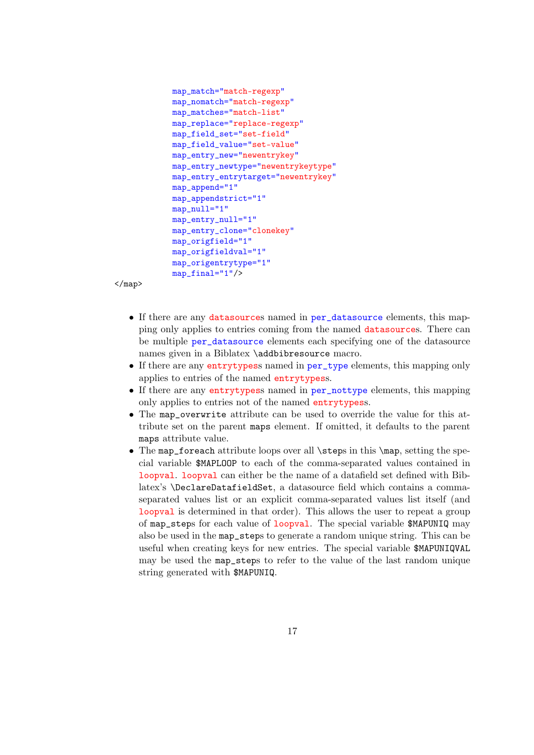```
map_match="match-regexp"
map_nomatch="match-regexp"
map_matches="match-list"
map_replace="replace-regexp"
map_field_set="set-field"
map_field_value="set-value"
map_entry_new="newentrykey"
map_entry_newtype="newentrykeytype"
map_entry_entrytarget="newentrykey"
map_append="1"
map_appendstrict="1"
map_null="1"
map_entry_null="1"
map_entry_clone="clonekey"
map_origfield="1"
map_origfieldval="1"
map_origentrytype="1"
map_final="1"/>
```
 $\langle$ /map $\rangle$ 

- If there are any datasources named in per\_datasource elements, this mapping only applies to entries coming from the named datasources. There can be multiple per\_datasource elements each specifying one of the datasource names given in a Biblatex \addbibresource macro.
- If there are any entrytypess named in per\_type elements, this mapping only applies to entries of the named entrytypess.
- If there are any entrytypess named in per\_nottype elements, this mapping only applies to entries not of the named entrytypess.
- The map\_overwrite attribute can be used to override the value for this attribute set on the parent maps element. If omitted, it defaults to the parent maps attribute value.
- The map\_foreach attribute loops over all \steps in this \map, setting the special variable \$MAPLOOP to each of the comma-separated values contained in loopval. loopval can either be the name of a datafield set defined with Biblatex's \DeclareDatafieldSet, a datasource field which contains a commaseparated values list or an explicit comma-separated values list itself (and loopval is determined in that order). This allows the user to repeat a group of map\_steps for each value of loopval. The special variable \$MAPUNIQ may also be used in the map\_steps to generate a random unique string. This can be useful when creating keys for new entries. The special variable \$MAPUNIQVAL may be used the map\_steps to refer to the value of the last random unique string generated with \$MAPUNIQ.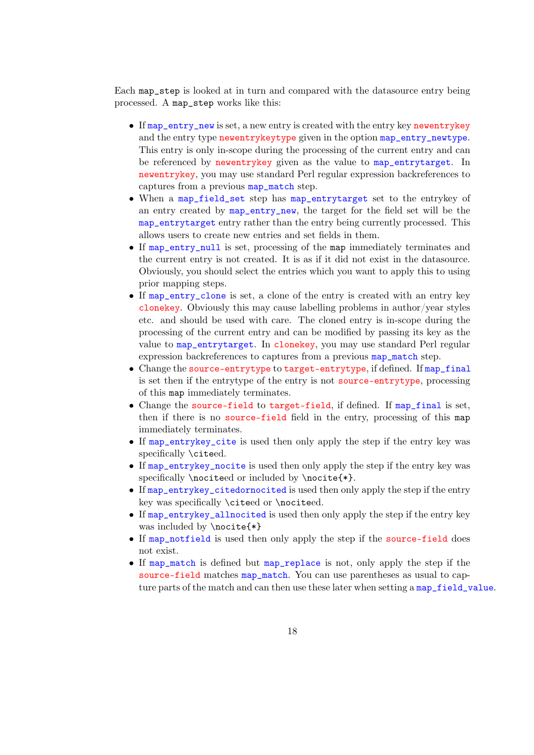Each map\_step is looked at in turn and compared with the datasource entry being processed. A map\_step works like this:

- If map entry new is set, a new entry is created with the entry key newentrykey and the entry type newentrykeytype given in the option map\_entry\_newtype. This entry is only in-scope during the processing of the current entry and can be referenced by newentrykey given as the value to map\_entrytarget. In newentrykey, you may use standard Perl regular expression backreferences to captures from a previous map\_match step.
- When a map\_field\_set step has map\_entrytarget set to the entrykey of an entry created by map\_entry\_new, the target for the field set will be the map\_entrytarget entry rather than the entry being currently processed. This allows users to create new entries and set fields in them.
- If map\_entry\_null is set, processing of the map immediately terminates and the current entry is not created. It is as if it did not exist in the datasource. Obviously, you should select the entries which you want to apply this to using prior mapping steps.
- If map\_entry\_clone is set, a clone of the entry is created with an entry key clonekey. Obviously this may cause labelling problems in author/year styles etc. and should be used with care. The cloned entry is in-scope during the processing of the current entry and can be modified by passing its key as the value to map\_entrytarget. In clonekey, you may use standard Perl regular expression backreferences to captures from a previous map\_match step.
- Change the source-entrytype to target-entrytype, if defined. If map final is set then if the entrytype of the entry is not source-entrytype, processing of this map immediately terminates.
- Change the source-field to target-field, if defined. If map\_final is set, then if there is no source-field field in the entry, processing of this map immediately terminates.
- If map\_entrykey\_cite is used then only apply the step if the entry key was specifically \citeed.
- If map\_entrykey\_nocite is used then only apply the step if the entry key was specifically \nociteed or included by \nocite{\*}.
- If map\_entrykey\_citedornocited is used then only apply the step if the entry key was specifically \citeed or \nociteed.
- If map\_entrykey\_allnocited is used then only apply the step if the entry key was included by \nocite{\*}
- If map\_notfield is used then only apply the step if the source-field does not exist.
- If map\_match is defined but map\_replace is not, only apply the step if the source-field matches map\_match. You can use parentheses as usual to capture parts of the match and can then use these later when setting a map\_field\_value.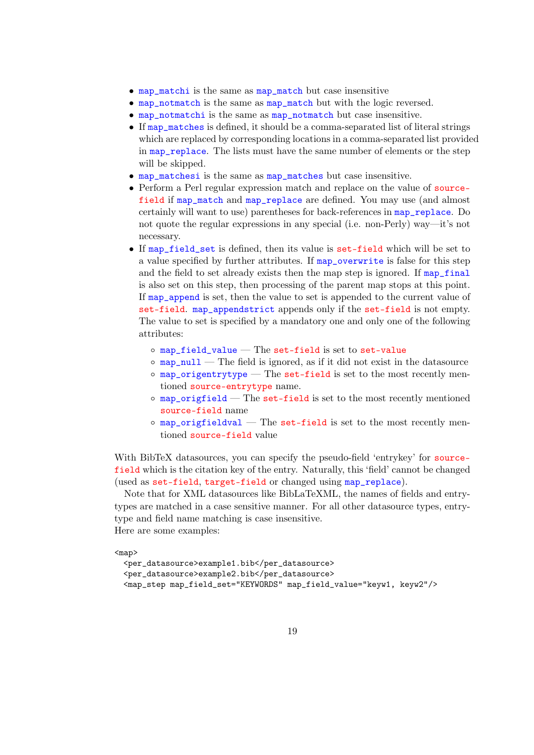- map\_matchi is the same as map\_match but case insensitive
- map\_notmatch is the same as map\_match but with the logic reversed.
- map\_notmatchi is the same as map\_notmatch but case insensitive.
- If map\_matches is defined, it should be a comma-separated list of literal strings which are replaced by corresponding locations in a comma-separated list provided in map\_replace. The lists must have the same number of elements or the step will be skipped.
- map\_matchesi is the same as map\_matches but case insensitive.
- Perform a Perl regular expression match and replace on the value of sourcefield if map\_match and map\_replace are defined. You may use (and almost certainly will want to use) parentheses for back-references in map\_replace. Do not quote the regular expressions in any special (i.e. non-Perly) way—it's not necessary.
- If map\_field\_set is defined, then its value is set-field which will be set to a value specified by further attributes. If  $map\_overwrite$  is false for this step and the field to set already exists then the map step is ignored. If  $map\_final$ is also set on this step, then processing of the parent map stops at this point. If map\_append is set, then the value to set is appended to the current value of set-field. map\_appendstrict appends only if the set-field is not empty. The value to set is specified by a mandatory one and only one of the following attributes:
	- $\circ$  map\_field\_value  $-$  The set-field is set to set-value
	- $\circ$  map\_null The field is ignored, as if it did not exist in the datasource
	- $\circ$  map\_origentrytype The set-field is set to the most recently mentioned source-entrytype name.
	- map\_origfield The set-field is set to the most recently mentioned source-field name
	- $\circ$  map\_origfieldval The set-field is set to the most recently mentioned source-field value

With BibTeX datasources, you can specify the pseudo-field 'entrykey' for sourcefield which is the citation key of the entry. Naturally, this 'field' cannot be changed (used as set-field, target-field or changed using map\_replace).

Note that for XML datasources like BibLaTeXML, the names of fields and entrytypes are matched in a case sensitive manner. For all other datasource types, entrytype and field name matching is case insensitive. Here are some examples:

<map>

```
<per_datasource>example1.bib</per_datasource>
<per_datasource>example2.bib</per_datasource>
<map_step map_field_set="KEYWORDS" map_field_value="keyw1, keyw2"/>
```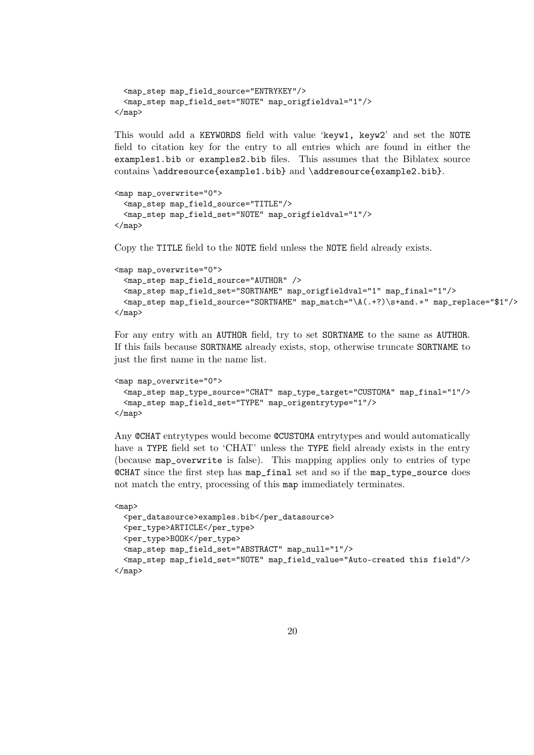```
<map_step map_field_source="ENTRYKEY"/>
  <map_step map_field_set="NOTE" map_origfieldval="1"/>
\langle/map\rangle
```
This would add a KEYWORDS field with value 'keyw1, keyw2' and set the NOTE field to citation key for the entry to all entries which are found in either the examples1.bib or examples2.bib files. This assumes that the Biblatex source contains \addresource{example1.bib} and \addresource{example2.bib}.

```
<map map_overwrite="0">
  <map_step map_field_source="TITLE"/>
  <map_step map_field_set="NOTE" map_origfieldval="1"/>
\langle/map\rangle
```
Copy the TITLE field to the NOTE field unless the NOTE field already exists.

```
<map map_overwrite="0">
 <map_step map_field_source="AUTHOR" />
 <map_step map_field_set="SORTNAME" map_origfieldval="1" map_final="1"/>
  <map_step map_field_source="SORTNAME" map_match="\A(.+?)\s+and.∗" map_replace="$1"/>
</map>
```
For any entry with an AUTHOR field, try to set SORTNAME to the same as AUTHOR. If this fails because SORTNAME already exists, stop, otherwise truncate SORTNAME to just the first name in the name list.

```
<map map_overwrite="0">
 <map_step map_type_source="CHAT" map_type_target="CUSTOMA" map_final="1"/>
  <map_step map_field_set="TYPE" map_origentrytype="1"/>
</map>
```
Any @CHAT entrytypes would become @CUSTOMA entrytypes and would automatically have a TYPE field set to 'CHAT' unless the TYPE field already exists in the entry (because map\_overwrite is false). This mapping applies only to entries of type @CHAT since the first step has map\_final set and so if the map\_type\_source does not match the entry, processing of this map immediately terminates.

```
<map>
 <per_datasource>examples.bib</per_datasource>
 <per_type>ARTICLE</per_type>
 <per_type>BOOK</per_type>
 <map_step map_field_set="ABSTRACT" map_null="1"/>
 <map_step map_field_set="NOTE" map_field_value="Auto-created this field"/>
</map>
```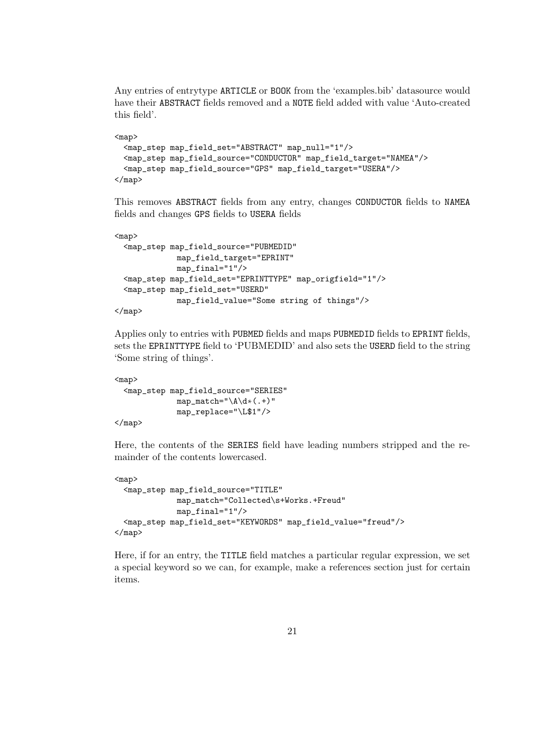Any entries of entrytype ARTICLE or BOOK from the 'examples.bib' datasource would have their ABSTRACT fields removed and a NOTE field added with value 'Auto-created this field'.

```
<map>
  <map_step map_field_set="ABSTRACT" map_null="1"/>
 <map_step map_field_source="CONDUCTOR" map_field_target="NAMEA"/>
 <map_step map_field_source="GPS" map_field_target="USERA"/>
\langlemap>
```
This removes ABSTRACT fields from any entry, changes CONDUCTOR fields to NAMEA fields and changes GPS fields to USERA fields

```
<sub>map</sub></sub>
  <map_step map_field_source="PUBMEDID"
              map_field_target="EPRINT"
              map_final="1"/>
 <map_step map_field_set="EPRINTTYPE" map_origfield="1"/>
 <map_step map_field_set="USERD"
              map_field_value="Some string of things"/>
```

```
\langle map>
```
Applies only to entries with PUBMED fields and maps PUBMEDID fields to EPRINT fields, sets the EPRINTTYPE field to 'PUBMEDID' and also sets the USERD field to the string 'Some string of things'.

```
<map>
 <map_step map_field_source="SERIES"
             map_match="\A\d∗(.+)"
             map_replace="\L$1"/>
```
 $\langle$ map>

Here, the contents of the SERIES field have leading numbers stripped and the remainder of the contents lowercased.

```
<sub>map</sub></sub>
  <map_step map_field_source="TITLE"
              map_match="Collected\s+Works.+Freud"
              map_final="1"/>
 <map_step map_field_set="KEYWORDS" map_field_value="freud"/>
</map>
```
Here, if for an entry, the TITLE field matches a particular regular expression, we set a special keyword so we can, for example, make a references section just for certain items.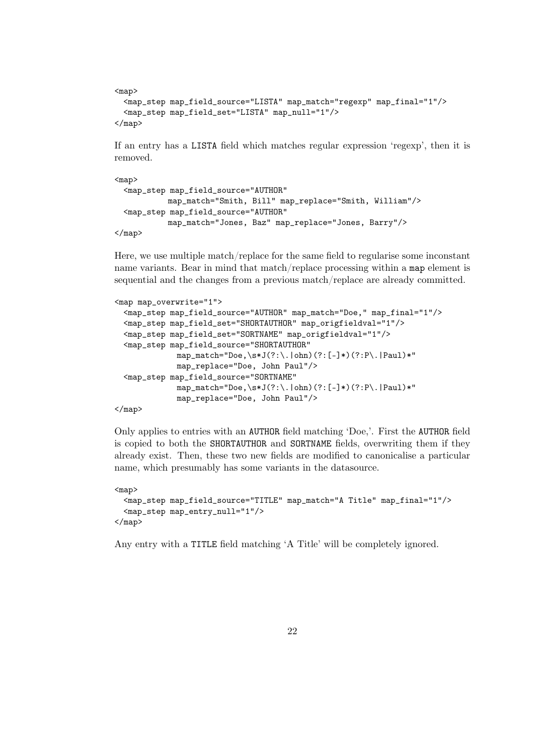```
<sub>map</sub></sub>
  <map_step map_field_source="LISTA" map_match="regexp" map_final="1"/>
  <map_step map_field_set="LISTA" map_null="1"/>
\langlemap>
```
If an entry has a LISTA field which matches regular expression 'regexp', then it is removed.

```
<sub>map</sub></sub>
  <map_step map_field_source="AUTHOR"
             map_match="Smith, Bill" map_replace="Smith, William"/>
  <map_step map_field_source="AUTHOR"
            map_match="Jones, Baz" map_replace="Jones, Barry"/>
\langle/map\rangle
```
Here, we use multiple match/replace for the same field to regularise some inconstant name variants. Bear in mind that match/replace processing within a map element is sequential and the changes from a previous match/replace are already committed.

```
<map map_overwrite="1">
 <map_step map_field_source="AUTHOR" map_match="Doe," map_final="1"/>
 <map_step map_field_set="SHORTAUTHOR" map_origfieldval="1"/>
 <map_step map_field_set="SORTNAME" map_origfieldval="1"/>
 <map_step map_field_source="SHORTAUTHOR"
             map_match="Doe,\s*J(?:\.|ohn)(?:[-]*)(?:P\.|Paul)*"
             map_replace="Doe, John Paul"/>
 <map_step map_field_source="SORTNAME"
             map_match="Doe,\s*J(?:\ldots | \text{ohn})(?:[-]*)(??:P\ldots | \text{Paul})*"
             map_replace="Doe, John Paul"/>
```
</map>

Only applies to entries with an AUTHOR field matching 'Doe,'. First the AUTHOR field is copied to both the SHORTAUTHOR and SORTNAME fields, overwriting them if they already exist. Then, these two new fields are modified to canonicalise a particular name, which presumably has some variants in the datasource.

```
<map>
 <map_step map_field_source="TITLE" map_match="A Title" map_final="1"/>
  <map_step map_entry_null="1"/>
\langlemap>
```
Any entry with a TITLE field matching 'A Title' will be completely ignored.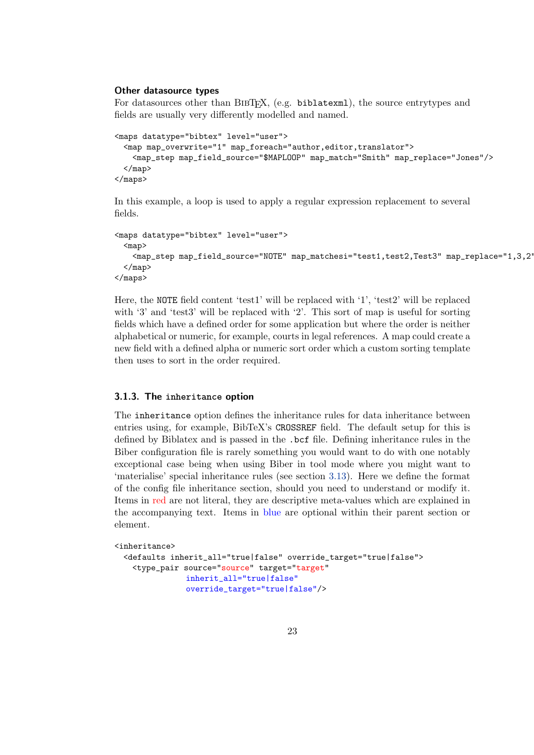#### <span id="page-22-0"></span>**Other datasource types**

For datasources other than BIBT<sub>F</sub>X, (e.g. biblatexml), the source entrytypes and fields are usually very differently modelled and named.

```
<maps datatype="bibtex" level="user">
 <map map_overwrite="1" map_foreach="author,editor,translator">
   <map_step map_field_source="$MAPLOOP" map_match="Smith" map_replace="Jones"/>
 \langlemap>
</maps>
```
In this example, a loop is used to apply a regular expression replacement to several fields.

```
<maps datatype="bibtex" level="user">
 <map>
    <map_step map_field_source="NOTE" map_matchesi="test1,test2,Test3" map_replace="1,3,2"/>
  </map>
</maps>
```
Here, the NOTE field content 'test1' will be replaced with '1', 'test2' will be replaced with '3' and 'test3' will be replaced with '2'. This sort of map is useful for sorting fields which have a defined order for some application but where the order is neither alphabetical or numeric, for example, courts in legal references. A map could create a new field with a defined alpha or numeric sort order which a custom sorting template then uses to sort in the order required.

#### **3.1.3. The inheritance option**

The inheritance option defines the inheritance rules for data inheritance between entries using, for example, BibTeX's CROSSREF field. The default setup for this is defined by Biblatex and is passed in the .bcf file. Defining inheritance rules in the Biber configuration file is rarely something you would want to do with one notably exceptional case being when using Biber in tool mode where you might want to 'materialise' special inheritance rules (see section [3.13\)](#page-42-0). Here we define the format of the config file inheritance section, should you need to understand or modify it. Items in red are not literal, they are descriptive meta-values which are explained in the accompanying text. Items in blue are optional within their parent section or element.

```
<inheritance>
 <defaults inherit_all="true|false" override_target="true|false">
   <type_pair source="source" target="target"
               inherit_all="true|false"
               override_target="true|false"/>
```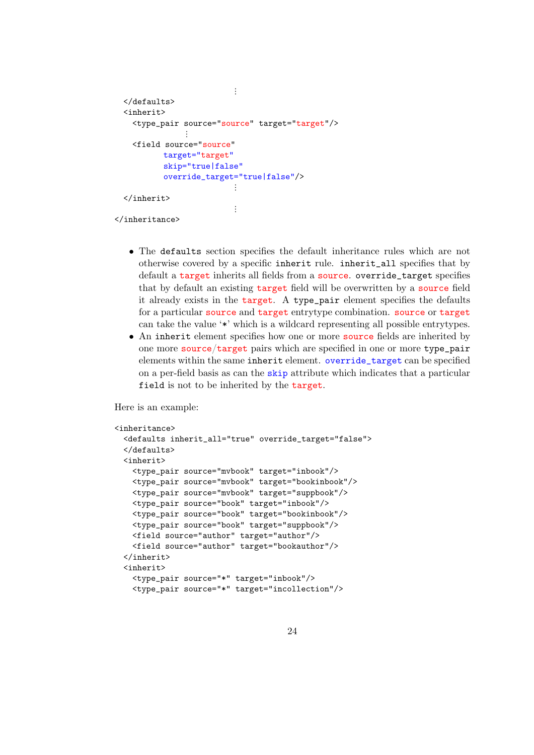```
\ddot{\ddot{\cdot}}</defaults>
  <inherit>
    <type_pair source="source" target="target"/>
                  \ddot{\phantom{a}}<field source="source"
            target="target"
             skip="true|false"
             override_target="true|false"/>
                               ⋮
  </inherit>
                                \vdots</inheritance>
```
- The defaults section specifies the default inheritance rules which are not otherwise covered by a specific inherit rule. inherit\_all specifies that by default a target inherits all fields from a source. override\_target specifies that by default an existing target field will be overwritten by a source field it already exists in the target. A type\_pair element specifies the defaults for a particular source and target entrytype combination. source or target can take the value '\*' which is a wildcard representing all possible entrytypes.
- An inherit element specifies how one or more source fields are inherited by one more source/target pairs which are specified in one or more type\_pair elements within the same inherit element. override\_target can be specified on a per-field basis as can the skip attribute which indicates that a particular field is not to be inherited by the target.

Here is an example:

```
<inheritance>
 <defaults inherit_all="true" override_target="false">
 </defaults>
 <inherit>
   <type_pair source="mvbook" target="inbook"/>
   <type_pair source="mvbook" target="bookinbook"/>
   <type_pair source="mvbook" target="suppbook"/>
   <type_pair source="book" target="inbook"/>
   <type_pair source="book" target="bookinbook"/>
   <type_pair source="book" target="suppbook"/>
   <field source="author" target="author"/>
   <field source="author" target="bookauthor"/>
 </inherit>
 <inherit>
   <type_pair source="*" target="inbook"/>
   <type_pair source="*" target="incollection"/>
```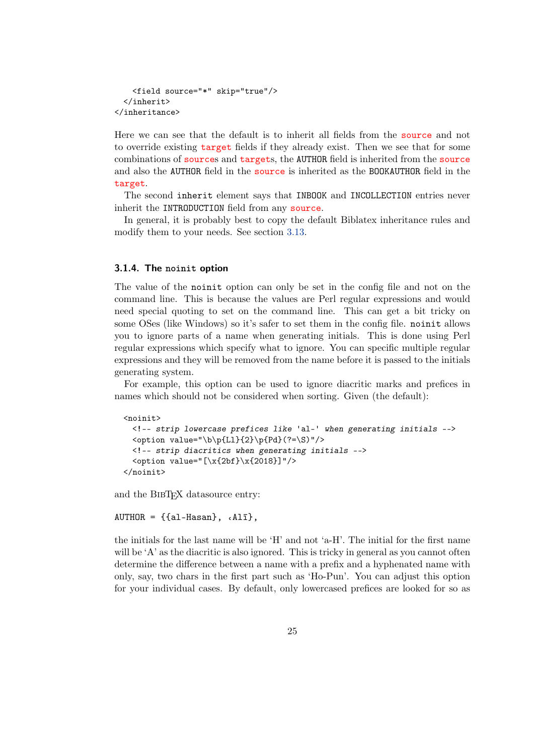```
<field source="*" skip="true"/>
 </inherit>
</inheritance>
```
Here we can see that the default is to inherit all fields from the source and not to override existing target fields if they already exist. Then we see that for some combinations of sources and targets, the AUTHOR field is inherited from the source and also the AUTHOR field in the source is inherited as the BOOKAUTHOR field in the target.

The second inherit element says that INBOOK and INCOLLECTION entries never inherit the INTRODUCTION field from any source.

In general, it is probably best to copy the default Biblatex inheritance rules and modify them to your needs. See section [3.13.](#page-42-0)

#### **3.1.4. The noinit option**

The value of the noinit option can only be set in the config file and not on the command line. This is because the values are Perl regular expressions and would need special quoting to set on the command line. This can get a bit tricky on some OSes (like Windows) so it's safer to set them in the config file. noinit allows you to ignore parts of a name when generating initials. This is done using Perl regular expressions which specify what to ignore. You can specific multiple regular expressions and they will be removed from the name before it is passed to the initials generating system.

For example, this option can be used to ignore diacritic marks and prefices in names which should not be considered when sorting. Given (the default):

```
<noinit>
  <!-- strip lowercase prefices like 'al-' when generating initials -->
  \check{\phi} value="\b\p{Ll}{2}\p{Pd}(?=\S)"/>
  <!-- strip diacritics when generating initials -->
  \check{\mathrm{value}} = "[\x{2bf}\x{2018}]"/>
</noinit>
```
and the BIBT<sub>E</sub>X datasource entry:

```
AUTHOR = \{\{al-Hasan\}, \ldots A1\overline{\iota}\},
```
the initials for the last name will be 'H' and not 'a-H'. The initial for the first name will be 'A' as the diacritic is also ignored. This is tricky in general as you cannot often determine the difference between a name with a prefix and a hyphenated name with only, say, two chars in the first part such as 'Ho-Pun'. You can adjust this option for your individual cases. By default, only lowercased prefices are looked for so as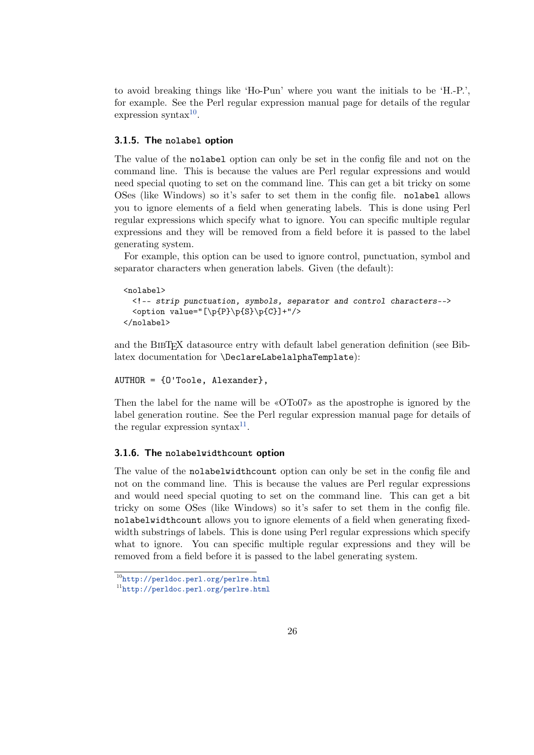to avoid breaking things like 'Ho-Pun' where you want the initials to be 'H.-P.', for example. See the Perl regular expression manual page for details of the regular  $expression$  syntax $^{10}$ .

#### **3.1.5. The nolabel option**

The value of the nolabel option can only be set in the config file and not on the command line. This is because the values are Perl regular expressions and would need special quoting to set on the command line. This can get a bit tricky on some OSes (like Windows) so it's safer to set them in the config file. nolabel allows you to ignore elements of a field when generating labels. This is done using Perl regular expressions which specify what to ignore. You can specific multiple regular expressions and they will be removed from a field before it is passed to the label generating system.

For example, this option can be used to ignore control, punctuation, symbol and separator characters when generation labels. Given (the default):

```
<nolabel>
  <!-- strip punctuation, symbols, separator and control characters-->
  \check{\phi} value="[\p{P}\p{S}\p{C}]+"/>
</nolabel>
```
and the BIBTEX datasource entry with default label generation definition (see Biblatex documentation for \DeclareLabelalphaTemplate):

#### AUTHOR = {O'Toole, Alexander},

Then the label for the name will be «OTo07» as the apostrophe is ignored by the label generation routine. See the Perl regular expression manual page for details of the regular expression syntax $11$ .

#### **3.1.6. The nolabelwidthcount option**

The value of the nolabelwidthcount option can only be set in the config file and not on the command line. This is because the values are Perl regular expressions and would need special quoting to set on the command line. This can get a bit tricky on some OSes (like Windows) so it's safer to set them in the config file. nolabelwidthcount allows you to ignore elements of a field when generating fixedwidth substrings of labels. This is done using Perl regular expressions which specify what to ignore. You can specific multiple regular expressions and they will be removed from a field before it is passed to the label generating system.

<sup>10</sup><http://perldoc.perl.org/perlre.html>

<sup>11</sup><http://perldoc.perl.org/perlre.html>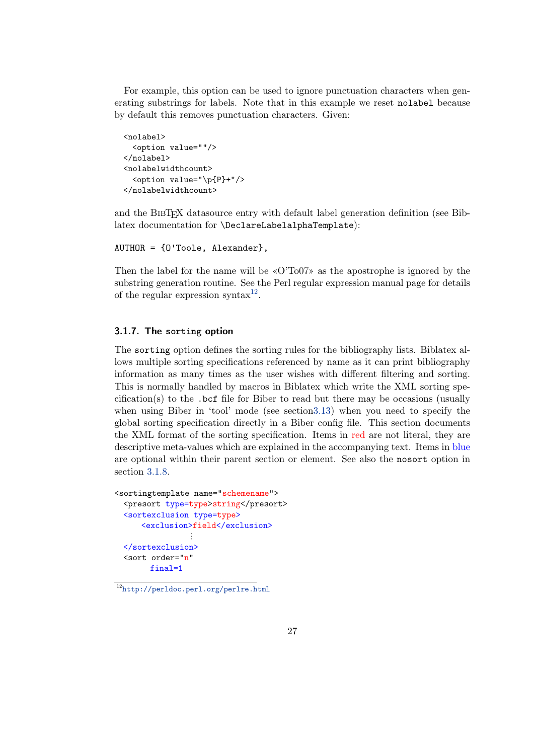<span id="page-26-0"></span>For example, this option can be used to ignore punctuation characters when generating substrings for labels. Note that in this example we reset nolabel because by default this removes punctuation characters. Given:

```
<nolabel>
 <option value=""/>
</nolabel>
<nolabelwidthcount>
  <option value="\p{P}+"/>
</nolabelwidthcount>
```
and the BIBTEX datasource entry with default label generation definition (see Biblatex documentation for \DeclareLabelalphaTemplate):

```
AUTHOR = {O'Toole, Alexander},
```
Then the label for the name will be «O'To07» as the apostrophe is ignored by the substring generation routine. See the Perl regular expression manual page for details of the regular expression syntax $^{12}$ .

#### **3.1.7. The sorting option**

The sorting option defines the sorting rules for the bibliography lists. Biblatex allows multiple sorting specifications referenced by name as it can print bibliography information as many times as the user wishes with different filtering and sorting. This is normally handled by macros in Biblatex which write the XML sorting specification(s) to the .bcf file for Biber to read but there may be occasions (usually when using Biber in 'tool' mode (see sectio[n3.13\)](#page-42-0) when you need to specify the global sorting specification directly in a Biber config file. This section documents the XML format of the sorting specification. Items in red are not literal, they are descriptive meta-values which are explained in the accompanying text. Items in blue are optional within their parent section or element. See also the nosort option in section [3.1.8.](#page-30-0)

```
<sortingtemplate name="schemename">
 <presort type=type>string</presort>
 <sortexclusion type=type>
     <exclusion>field</exclusion>
                ⋮
 </sortexclusion>
 <sort order="n"
       final=1
```
<sup>12</sup><http://perldoc.perl.org/perlre.html>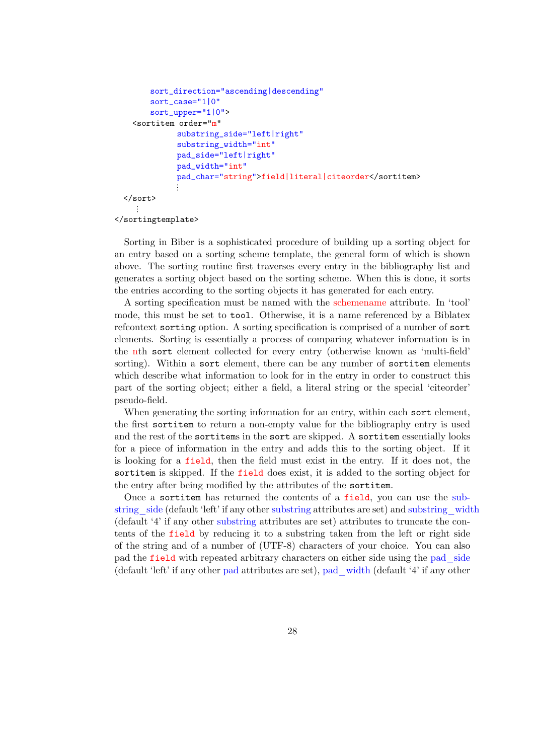```
sort_direction="ascending|descending"
      sort_case="1|0"
      sort_upper="1|0">
  <sortitem order="m"
            substring_side="left|right"
            substring_width="int"
            pad_side="left|right"
            pad_width="int"
            pad_char="string">field|literal|citeorder</sortitem>
            ⋮
</sort>
  \ddot{\cdot}
```

```
</sortingtemplate>
```
Sorting in Biber is a sophisticated procedure of building up a sorting object for an entry based on a sorting scheme template, the general form of which is shown above. The sorting routine first traverses every entry in the bibliography list and generates a sorting object based on the sorting scheme. When this is done, it sorts the entries according to the sorting objects it has generated for each entry.

A sorting specification must be named with the schemename attribute. In 'tool' mode, this must be set to tool. Otherwise, it is a name referenced by a Biblatex refcontext sorting option. A sorting specification is comprised of a number of sort elements. Sorting is essentially a process of comparing whatever information is in the nth sort element collected for every entry (otherwise known as 'multi-field' sorting). Within a sort element, there can be any number of sortitem elements which describe what information to look for in the entry in order to construct this part of the sorting object; either a field, a literal string or the special 'citeorder' pseudo-field.

When generating the sorting information for an entry, within each sort element, the first sortitem to return a non-empty value for the bibliography entry is used and the rest of the sortitems in the sort are skipped. A sortitem essentially looks for a piece of information in the entry and adds this to the sorting object. If it is looking for a field, then the field must exist in the entry. If it does not, the sortitem is skipped. If the field does exist, it is added to the sorting object for the entry after being modified by the attributes of the sortitem.

Once a sortitem has returned the contents of a field, you can use the substring side (default 'left' if any other substring attributes are set) and substring width (default '4' if any other substring attributes are set) attributes to truncate the contents of the field by reducing it to a substring taken from the left or right side of the string and of a number of (UTF-8) characters of your choice. You can also pad the field with repeated arbitrary characters on either side using the pad\_side (default 'left' if any other pad attributes are set), pad\_width (default '4' if any other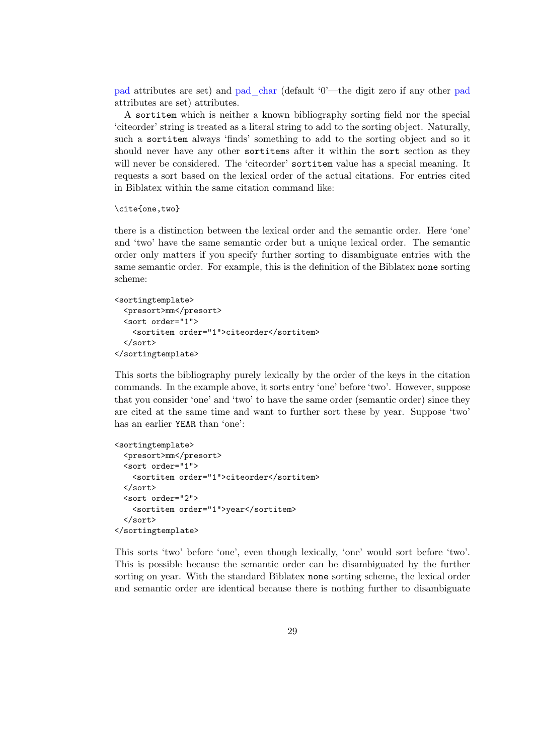pad attributes are set) and pad\_char (default '0'—the digit zero if any other pad attributes are set) attributes.

A sortitem which is neither a known bibliography sorting field nor the special 'citeorder' string is treated as a literal string to add to the sorting object. Naturally, such a sortitem always 'finds' something to add to the sorting object and so it should never have any other sortitems after it within the sort section as they will never be considered. The 'citeorder' sortitem value has a special meaning. It requests a sort based on the lexical order of the actual citations. For entries cited in Biblatex within the same citation command like:

```
\cite{one,two}
```
there is a distinction between the lexical order and the semantic order. Here 'one' and 'two' have the same semantic order but a unique lexical order. The semantic order only matters if you specify further sorting to disambiguate entries with the same semantic order. For example, this is the definition of the Biblatex none sorting scheme:

```
<sortingtemplate>
 <presort>mm</presort>
  <sort order="1">
    <sortitem order="1">citeorder</sortitem>
  \langle/sort\rangle</sortingtemplate>
```
This sorts the bibliography purely lexically by the order of the keys in the citation commands. In the example above, it sorts entry 'one' before 'two'. However, suppose that you consider 'one' and 'two' to have the same order (semantic order) since they are cited at the same time and want to further sort these by year. Suppose 'two' has an earlier YEAR than 'one':

```
<sortingtemplate>
  <presort>mm</presort>
  <sort order="1">
    <sortitem order="1">citeorder</sortitem>
  \langle/sort\rangle<sort order="2">
    <sortitem order="1">year</sortitem>
  \langle/sort\rangle</sortingtemplate>
```
This sorts 'two' before 'one', even though lexically, 'one' would sort before 'two'. This is possible because the semantic order can be disambiguated by the further sorting on year. With the standard Biblatex none sorting scheme, the lexical order and semantic order are identical because there is nothing further to disambiguate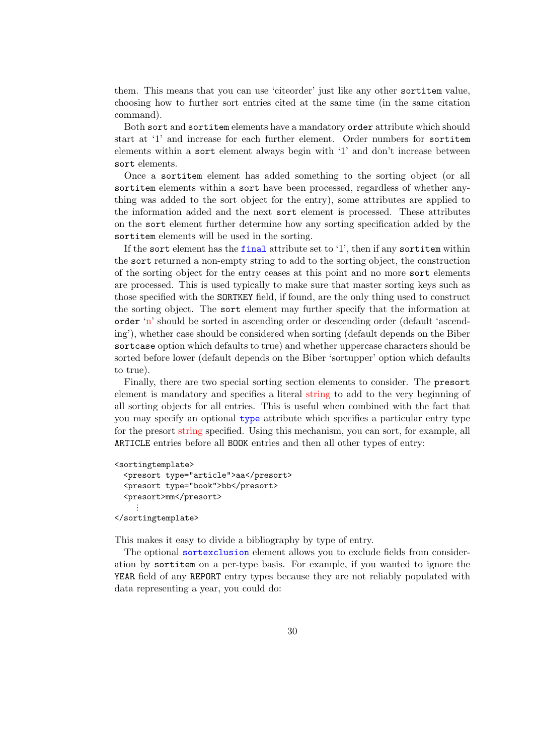them. This means that you can use 'citeorder' just like any other sortitem value, choosing how to further sort entries cited at the same time (in the same citation command).

Both sort and sortitem elements have a mandatory order attribute which should start at '1' and increase for each further element. Order numbers for sortitem elements within a sort element always begin with '1' and don't increase between sort elements.

Once a sortitem element has added something to the sorting object (or all sortitem elements within a sort have been processed, regardless of whether anything was added to the sort object for the entry), some attributes are applied to the information added and the next sort element is processed. These attributes on the sort element further determine how any sorting specification added by the sortitem elements will be used in the sorting.

If the sort element has the final attribute set to '1', then if any sortitem within the sort returned a non-empty string to add to the sorting object, the construction of the sorting object for the entry ceases at this point and no more sort elements are processed. This is used typically to make sure that master sorting keys such as those specified with the SORTKEY field, if found, are the only thing used to construct the sorting object. The sort element may further specify that the information at order 'n' should be sorted in ascending order or descending order (default 'ascending'), whether case should be considered when sorting (default depends on the Biber sortcase option which defaults to true) and whether uppercase characters should be sorted before lower (default depends on the Biber 'sortupper' option which defaults to true).

Finally, there are two special sorting section elements to consider. The presort element is mandatory and specifies a literal string to add to the very beginning of all sorting objects for all entries. This is useful when combined with the fact that you may specify an optional type attribute which specifies a particular entry type for the presort string specified. Using this mechanism, you can sort, for example, all ARTICLE entries before all BOOK entries and then all other types of entry:

```
<sortingtemplate>
 <presort type="article">aa</presort>
 <presort type="book">bb</presort>
  <presort>mm</presort>
     ⋮
</sortingtemplate>
```
This makes it easy to divide a bibliography by type of entry.

The optional sortexclusion element allows you to exclude fields from consideration by sortitem on a per-type basis. For example, if you wanted to ignore the YEAR field of any REPORT entry types because they are not reliably populated with data representing a year, you could do: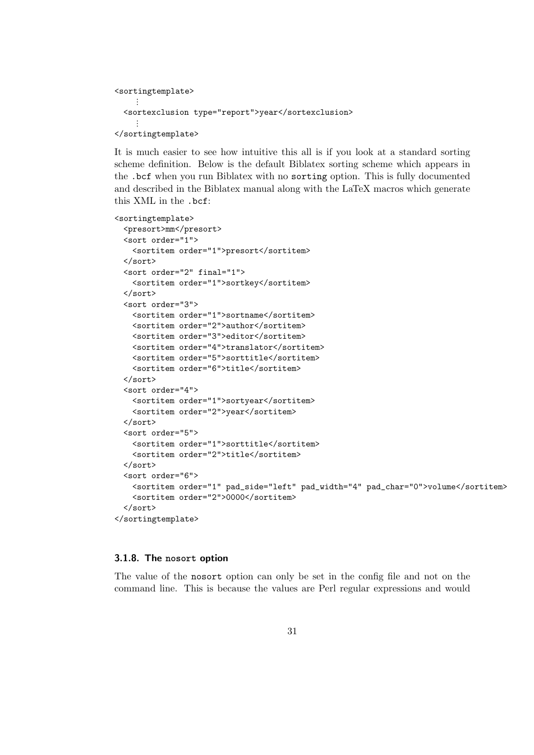```
<sortingtemplate>
      ⋮
  <sortexclusion type="report">year</sortexclusion>
     \ddot{\phantom{a}}</sortingtemplate>
```
It is much easier to see how intuitive this all is if you look at a standard sorting scheme definition. Below is the default Biblatex sorting scheme which appears in the .bcf when you run Biblatex with no sorting option. This is fully documented and described in the Biblatex manual along with the LaTeX macros which generate this XML in the .bcf:

```
<sortingtemplate>
 <presort>mm</presort>
 <sort order="1">
   <sortitem order="1">presort</sortitem>
 </sort>
 <sort order="2" final="1">
   <sortitem order="1">sortkey</sortitem>
 </sort>
  <sort order="3">
   <sortitem order="1">sortname</sortitem>
   <sortitem order="2">author</sortitem>
   <sortitem order="3">editor</sortitem>
   <sortitem order="4">translator</sortitem>
   <sortitem order="5">sorttitle</sortitem>
   <sortitem order="6">title</sortitem>
 </sort>
  <sort order="4">
   <sortitem order="1">sortyear</sortitem>
   <sortitem order="2">year</sortitem>
 </sort>
 <sort order="5">
   <sortitem order="1">sorttitle</sortitem>
   <sortitem order="2">title</sortitem>
 </sort>
 <sort order="6">
   <sortitem order="1" pad_side="left" pad_width="4" pad_char="0">volume</sortitem>
   <sortitem order="2">0000</sortitem>
  </sort>
</sortingtemplate>
```
## **3.1.8. The nosort option**

The value of the nosort option can only be set in the config file and not on the command line. This is because the values are Perl regular expressions and would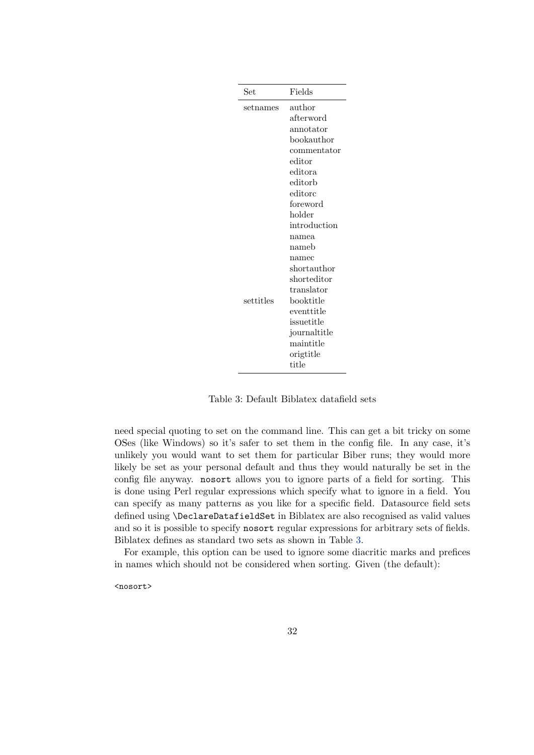<span id="page-31-0"></span>

| Set       | Fields                        |
|-----------|-------------------------------|
| setnames  | author                        |
|           | afterword                     |
|           | annotator                     |
|           | bookauthor                    |
|           | commentator                   |
|           | editor                        |
|           | $_{\rm editora}$              |
|           | editorb                       |
|           | editorc                       |
|           | foreword                      |
|           | holder                        |
|           | introduction                  |
|           | namea                         |
|           | $\mathop{\rm nameb}\nolimits$ |
|           | namec                         |
|           | short author                  |
|           | shorteditor                   |
|           | translator                    |
| settitles | booktitle                     |
|           | $\rm event title$             |
|           | issuetitle                    |
|           | journaltitle                  |
|           | maintitle                     |
|           | origtitle                     |
|           | $_{\rm title}$                |

Table 3: Default Biblatex datafield sets

need special quoting to set on the command line. This can get a bit tricky on some OSes (like Windows) so it's safer to set them in the config file. In any case, it's unlikely you would want to set them for particular Biber runs; they would more likely be set as your personal default and thus they would naturally be set in the config file anyway. nosort allows you to ignore parts of a field for sorting. This is done using Perl regular expressions which specify what to ignore in a field. You can specify as many patterns as you like for a specific field. Datasource field sets defined using \DeclareDatafieldSet in Biblatex are also recognised as valid values and so it is possible to specify nosort regular expressions for arbitrary sets of fields. Biblatex defines as standard two sets as shown in Table 3.

For example, this option can be used to ignore some diacritic marks and prefices in names which should not be considered when sorting. Given (the default):

<nosort>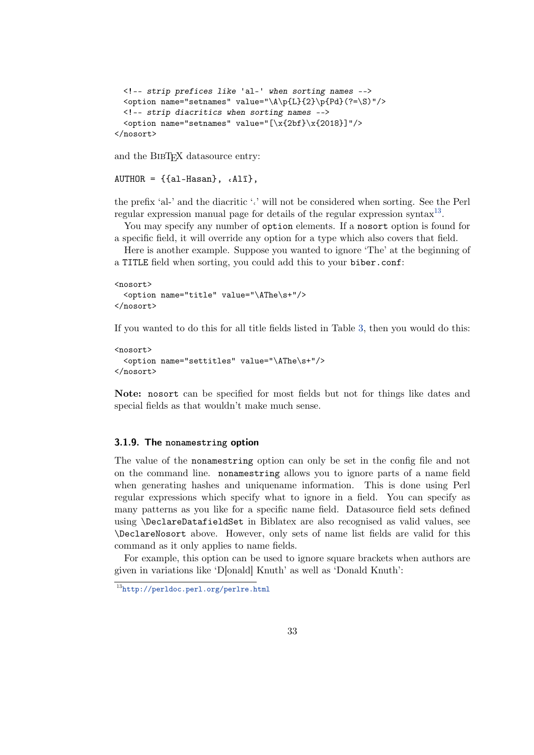```
<!-- strip prefices like 'al-' when sorting names -->
 <option name="setnames" value="\A\p{L}{2}\p{Pd}(?=\S)"/>
 <!-- strip diacritics when sorting names -->
  \check{\mathrm{option}} name="setnames" value="[\x{2bf}\x{2018}]"/>
</nosort>
```
and the BIBTEX datasource entry:

```
AUTHOR = \{\{\text{al-Hasan}\}, \{\text{all}\},\}
```
the prefix 'al-' and the diacritic ' $\cdot$ ' will not be considered when sorting. See the Perl regular expression manual page for details of the regular expression syntax $^{13}$ .

You may specify any number of option elements. If a nosort option is found for a specific field, it will override any option for a type which also covers that field.

Here is another example. Suppose you wanted to ignore 'The' at the beginning of a TITLE field when sorting, you could add this to your biber.conf:

```
<nosort>
 <option name="title" value="\AThe\s+"/>
</nosort>
```
If you wanted to do this for all title fields listed in Table [3,](#page-31-0) then you would do this:

```
<nosort>
 <option name="settitles" value="\AThe\s+"/>
</nosort>
```
**Note:** nosort can be specified for most fields but not for things like dates and special fields as that wouldn't make much sense.

#### **3.1.9. The nonamestring option**

The value of the nonamestring option can only be set in the config file and not on the command line. nonamestring allows you to ignore parts of a name field when generating hashes and uniquename information. This is done using Perl regular expressions which specify what to ignore in a field. You can specify as many patterns as you like for a specific name field. Datasource field sets defined using \DeclareDatafieldSet in Biblatex are also recognised as valid values, see \DeclareNosort above. However, only sets of name list fields are valid for this command as it only applies to name fields.

For example, this option can be used to ignore square brackets when authors are given in variations like 'D[onald] Knuth' as well as 'Donald Knuth':

<sup>13</sup><http://perldoc.perl.org/perlre.html>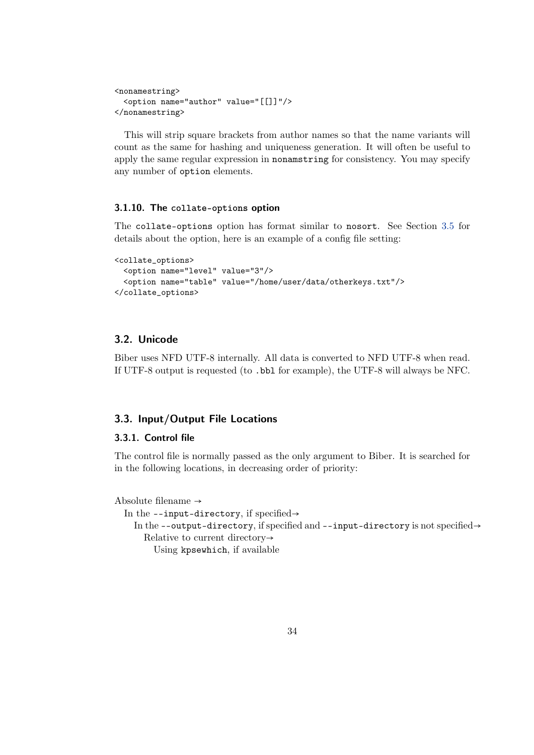```
<nonamestring>
  <option name="author" value="[[]]"/>
</nonamestring>
```
This will strip square brackets from author names so that the name variants will count as the same for hashing and uniqueness generation. It will often be useful to apply the same regular expression in nonamstring for consistency. You may specify any number of option elements.

## **3.1.10. The collate-options option**

The collate-options option has format similar to nosort. See Section [3.5](#page-34-0) for details about the option, here is an example of a config file setting:

```
<collate_options>
 <option name="level" value="3"/>
  <option name="table" value="/home/user/data/otherkeys.txt"/>
</collate_options>
```
## **3.2. Unicode**

Biber uses NFD UTF-8 internally. All data is converted to NFD UTF-8 when read. If UTF-8 output is requested (to .bbl for example), the UTF-8 will always be NFC.

## **3.3. Input/Output File Locations**

## **3.3.1. Control file**

The control file is normally passed as the only argument to Biber. It is searched for in the following locations, in decreasing order of priority:

```
Absolute filename \rightarrow
```
In the --input-directory, if specified $\rightarrow$ 

In the --output-directory, if specified and --input-directory is not specified $\rightarrow$ Relative to current directory→

Using kpsewhich, if available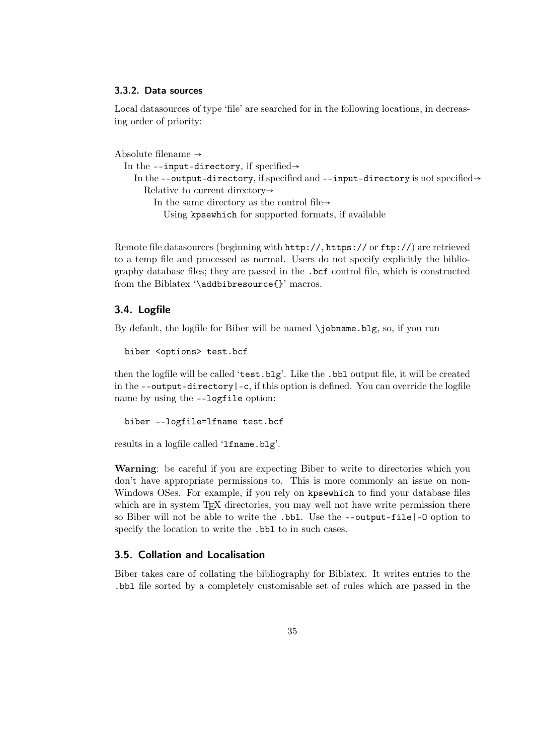#### <span id="page-34-0"></span>**3.3.2. Data sources**

Local datasources of type 'file' are searched for in the following locations, in decreasing order of priority:

```
Absolute filename \rightarrowIn the --input-directory, if specified\rightarrowIn the --output-directory, if specified and \text{-}\text{input-directory} is not specified\rightarrowRelative to current directory→
          In the same directory as the control file\rightarrowUsing kpsewhich for supported formats, if available
```
Remote file datasources (beginning with  $http://http://orfty://orfty://)$  are retrieved to a temp file and processed as normal. Users do not specify explicitly the bibliography database files; they are passed in the .bcf control file, which is constructed from the Biblatex '\addbibresource{}' macros.

## **3.4. Logfile**

By default, the logfile for Biber will be named \jobname.blg, so, if you run

biber <options> test.bcf

then the logfile will be called 'test.blg'. Like the .bbl output file, it will be created in the  $-\text{output-directory}$   $\vert$  -c, if this option is defined. You can override the logfile name by using the --logfile option:

biber --logfile=lfname test.bcf

results in a logfile called 'lfname.blg'.

**Warning**: be careful if you are expecting Biber to write to directories which you don't have appropriate permissions to. This is more commonly an issue on non-Windows OSes. For example, if you rely on kpsewhich to find your database files which are in system T<sub>EX</sub> directories, you may well not have write permission there so Biber will not be able to write the .bbl. Use the --output-file|-O option to specify the location to write the .bbl to in such cases.

## **3.5. Collation and Localisation**

Biber takes care of collating the bibliography for Biblatex. It writes entries to the .bbl file sorted by a completely customisable set of rules which are passed in the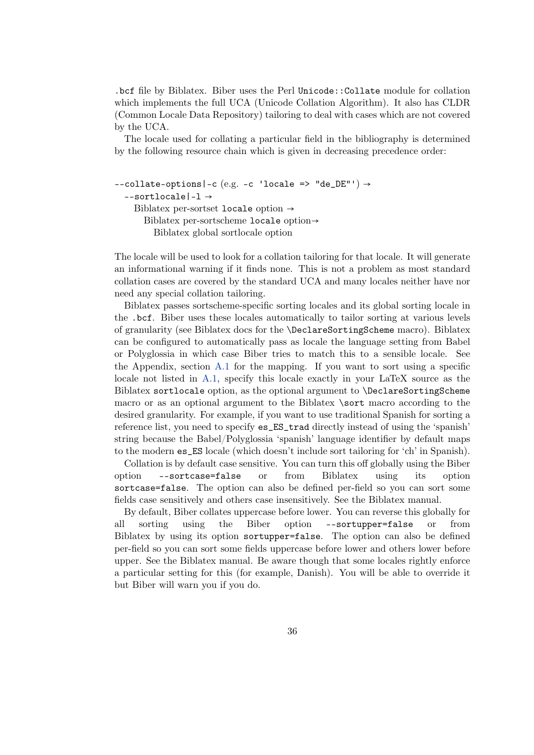.bcf file by Biblatex. Biber uses the Perl Unicode::Collate module for collation which implements the full UCA (Unicode Collation Algorithm). It also has CLDR (Common Locale Data Repository) tailoring to deal with cases which are not covered by the UCA.

The locale used for collating a particular field in the bibliography is determined by the following resource chain which is given in decreasing precedence order:

```
--collate-options|-c (e.g. -c 'locale => "de_DE"') \rightarrow--sortlocale|-l →
    Biblatex per-sortset locale option \rightarrowBiblatex per-sortscheme locale option→
         Biblatex global sortlocale option
```
The locale will be used to look for a collation tailoring for that locale. It will generate an informational warning if it finds none. This is not a problem as most standard collation cases are covered by the standard UCA and many locales neither have nor need any special collation tailoring.

Biblatex passes sortscheme-specific sorting locales and its global sorting locale in the .bcf. Biber uses these locales automatically to tailor sorting at various levels of granularity (see Biblatex docs for the \DeclareSortingScheme macro). Biblatex can be configured to automatically pass as locale the language setting from Babel or Polyglossia in which case Biber tries to match this to a sensible locale. See the Appendix, section [A.1](#page-56-0) for the mapping. If you want to sort using a specific locale not listed in [A.1,](#page-56-0) specify this locale exactly in your LaTeX source as the Biblatex sortlocale option, as the optional argument to \DeclareSortingScheme macro or as an optional argument to the Biblatex \sort macro according to the desired granularity. For example, if you want to use traditional Spanish for sorting a reference list, you need to specify es\_ES\_trad directly instead of using the 'spanish' string because the Babel/Polyglossia 'spanish' language identifier by default maps to the modern es\_ES locale (which doesn't include sort tailoring for 'ch' in Spanish).

Collation is by default case sensitive. You can turn this off globally using the Biber option --sortcase=false or from Biblatex using its option sortcase=false. The option can also be defined per-field so you can sort some fields case sensitively and others case insensitively. See the Biblatex manual.

By default, Biber collates uppercase before lower. You can reverse this globally for all sorting using the Biber option --sortupper=false or from Biblatex by using its option sortupper=false. The option can also be defined per-field so you can sort some fields uppercase before lower and others lower before upper. See the Biblatex manual. Be aware though that some locales rightly enforce a particular setting for this (for example, Danish). You will be able to override it but Biber will warn you if you do.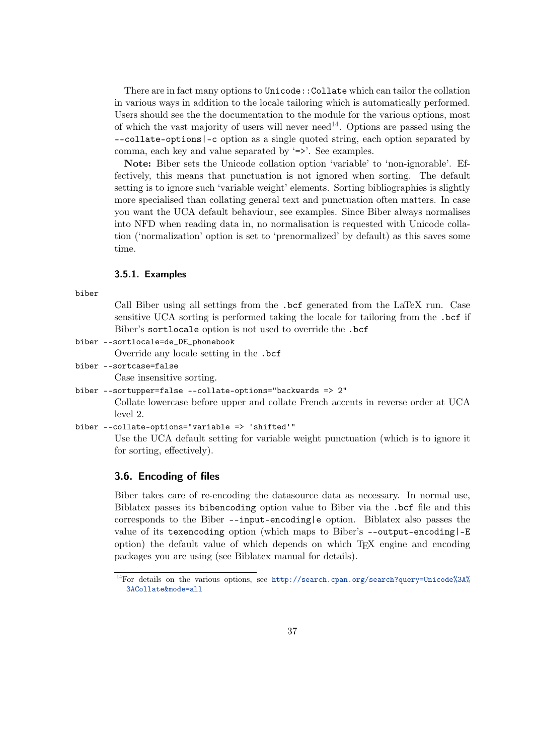<span id="page-36-0"></span>There are in fact many options to Unicode::Collate which can tailor the collation in various ways in addition to the locale tailoring which is automatically performed. Users should see the the documentation to the module for the various options, most of which the vast majority of users will never need<sup>14</sup>. Options are passed using the --collate-options|-c option as a single quoted string, each option separated by comma, each key and value separated by '=>'. See examples.

**Note:** Biber sets the Unicode collation option 'variable' to 'non-ignorable'. Effectively, this means that punctuation is not ignored when sorting. The default setting is to ignore such 'variable weight' elements. Sorting bibliographies is slightly more specialised than collating general text and punctuation often matters. In case you want the UCA default behaviour, see examples. Since Biber always normalises into NFD when reading data in, no normalisation is requested with Unicode collation ('normalization' option is set to 'prenormalized' by default) as this saves some time.

#### **3.5.1. Examples**

biber

Call Biber using all settings from the .bcf generated from the LaTeX run. Case sensitive UCA sorting is performed taking the locale for tailoring from the .bcf if Biber's sortlocale option is not used to override the .bcf

biber --sortlocale=de\_DE\_phonebook

Override any locale setting in the .bcf

biber --sortcase=false

Case insensitive sorting.

```
biber --sortupper=false --collate-options="backwards => 2"
```
Collate lowercase before upper and collate French accents in reverse order at UCA level 2.

```
biber --collate-options="variable => 'shifted'"
```
Use the UCA default setting for variable weight punctuation (which is to ignore it for sorting, effectively).

## **3.6. Encoding of files**

Biber takes care of re-encoding the datasource data as necessary. In normal use, Biblatex passes its bibencoding option value to Biber via the .bcf file and this corresponds to the Biber --input-encoding|e option. Biblatex also passes the value of its texencoding option (which maps to Biber's --output-encoding|-E option) the default value of which depends on which TEX engine and encoding packages you are using (see Biblatex manual for details).

<sup>14</sup>For details on the various options, see [http://search.cpan.org/search?query=Unicode%3A%](http://search.cpan.org/search?query=Unicode%3A%3ACollate&mode=all) [3ACollate&mode=all](http://search.cpan.org/search?query=Unicode%3A%3ACollate&mode=all)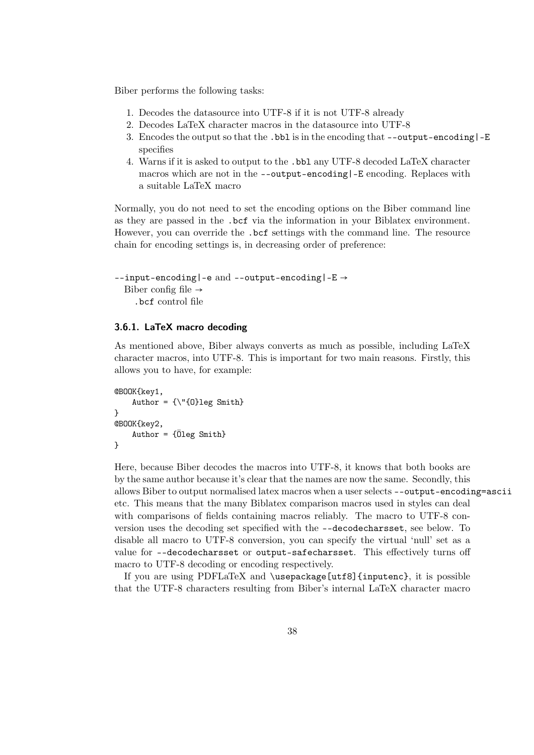<span id="page-37-0"></span>Biber performs the following tasks:

- 1. Decodes the datasource into UTF-8 if it is not UTF-8 already
- 2. Decodes LaTeX character macros in the datasource into UTF-8
- 3. Encodes the output so that the .bbl is in the encoding that --output-encoding|-E specifies
- 4. Warns if it is asked to output to the .bbl any UTF-8 decoded LaTeX character macros which are not in the --output-encoding|-E encoding. Replaces with a suitable LaTeX macro

Normally, you do not need to set the encoding options on the Biber command line as they are passed in the .bcf via the information in your Biblatex environment. However, you can override the .bcf settings with the command line. The resource chain for encoding settings is, in decreasing order of preference:

```
--input-encoding|-e and --output-encoding|-E →
  Biber config file \rightarrow.bcf control file
```
## **3.6.1. LaTeX macro decoding**

As mentioned above, Biber always converts as much as possible, including LaTeX character macros, into UTF-8. This is important for two main reasons. Firstly, this allows you to have, for example:

```
@BOOK{key1,
    Author = {\{\n \}'{0}leg Smith}
}
@BOOK{key2,
    Author = {Öleg Smith}
}
```
Here, because Biber decodes the macros into UTF-8, it knows that both books are by the same author because it's clear that the names are now the same. Secondly, this allows Biber to output normalised latex macros when a user selects --output-encoding=ascii etc. This means that the many Biblatex comparison macros used in styles can deal with comparisons of fields containing macros reliably. The macro to UTF-8 conversion uses the decoding set specified with the --decodecharsset, see below. To disable all macro to UTF-8 conversion, you can specify the virtual 'null' set as a value for --decodecharsset or output-safecharsset. This effectively turns off macro to UTF-8 decoding or encoding respectively.

If you are using PDFLaTeX and \usepackage[utf8]{inputenc}, it is possible that the UTF-8 characters resulting from Biber's internal LaTeX character macro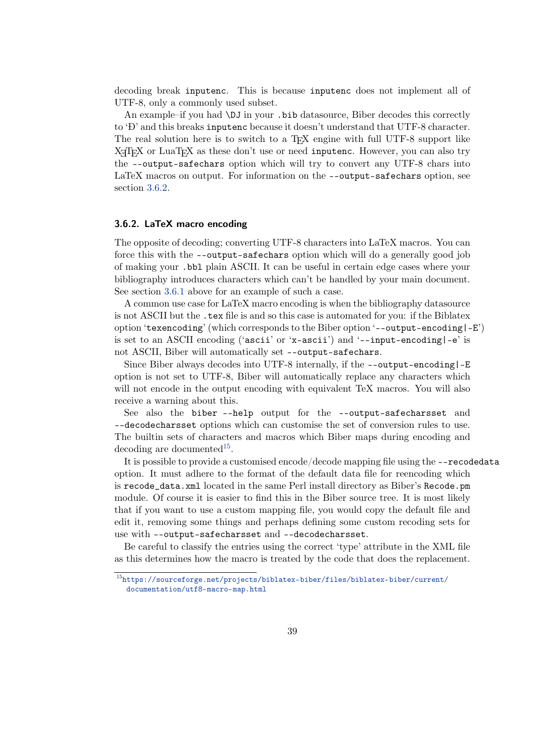decoding break inputenc. This is because inputenc does not implement all of UTF-8, only a commonly used subset.

An example–if you had \DJ in your .bib datasource, Biber decodes this correctly to 'Đ' and this breaks inputenc because it doesn't understand that UTF-8 character. The real solution here is to switch to a T<sub>EX</sub> engine with full UTF-8 support like X<sub>T</sub>T<sub>E</sub>X or LuaT<sub>E</sub>X as these don't use or need inputenc. However, you can also try the --output-safechars option which will try to convert any UTF-8 chars into LaTeX macros on output. For information on the --output-safechars option, see section 3.6.2.

#### **3.6.2. LaTeX macro encoding**

The opposite of decoding; converting UTF-8 characters into LaTeX macros. You can force this with the --output-safechars option which will do a generally good job of making your .bbl plain ASCII. It can be useful in certain edge cases where your bibliography introduces characters which can't be handled by your main document. See section [3.6.1](#page-37-0) above for an example of such a case.

A common use case for LaTeX macro encoding is when the bibliography datasource is not ASCII but the .tex file is and so this case is automated for you: if the Biblatex option 'texencoding' (which corresponds to the Biber option '--output-encoding|-E') is set to an ASCII encoding ('ascii' or 'x-ascii') and '--input-encoding $|-e$ ' is not ASCII, Biber will automatically set --output-safechars.

Since Biber always decodes into UTF-8 internally, if the --output-encoding|-E option is not set to UTF-8, Biber will automatically replace any characters which will not encode in the output encoding with equivalent TeX macros. You will also receive a warning about this.

See also the biber --help output for the --output-safecharsset and --decodecharsset options which can customise the set of conversion rules to use. The builtin sets of characters and macros which Biber maps during encoding and decoding are documented<sup>15</sup>.

It is possible to provide a customised encode/decode mapping file using the --recodedata option. It must adhere to the format of the default data file for reencoding which is recode\_data.xml located in the same Perl install directory as Biber's Recode.pm module. Of course it is easier to find this in the Biber source tree. It is most likely that if you want to use a custom mapping file, you would copy the default file and edit it, removing some things and perhaps defining some custom recoding sets for use with --output-safecharsset and --decodecharsset.

Be careful to classify the entries using the correct 'type' attribute in the XML file as this determines how the macro is treated by the code that does the replacement.

 $^{15}\mathrm{https://sourceforge.net/projects/biblatex-biber/files/biblatex-biber/current/}$  $^{15}\mathrm{https://sourceforge.net/projects/biblatex-biber/files/biblatex-biber/current/}$  $^{15}\mathrm{https://sourceforge.net/projects/biblatex-biber/files/biblatex-biber/current/}$ [documentation/utf8-macro-map.html](https://sourceforge.net/projects/biblatex-biber/files/biblatex-biber/current/documentation/utf8-macro-map.html)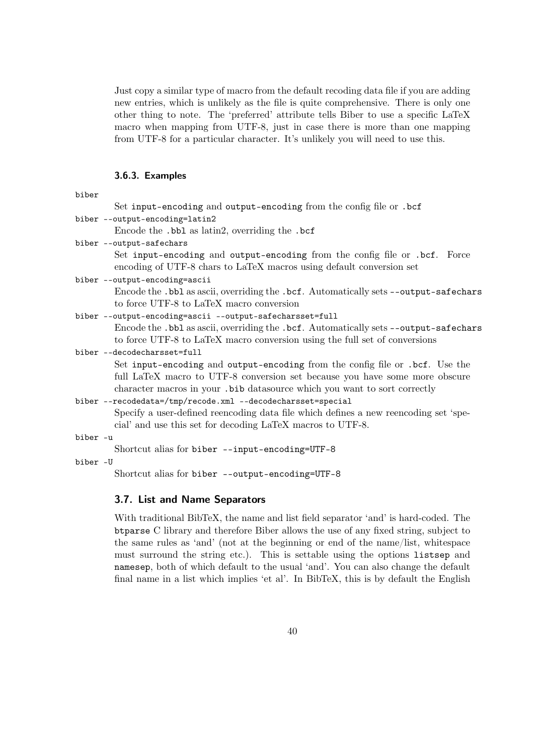<span id="page-39-0"></span>Just copy a similar type of macro from the default recoding data file if you are adding new entries, which is unlikely as the file is quite comprehensive. There is only one other thing to note. The 'preferred' attribute tells Biber to use a specific LaTeX macro when mapping from UTF-8, just in case there is more than one mapping from UTF-8 for a particular character. It's unlikely you will need to use this.

#### **3.6.3. Examples**

| Set input-encoding and output-encoding from the config file or .bcf                                                                                                                                                                        |
|--------------------------------------------------------------------------------------------------------------------------------------------------------------------------------------------------------------------------------------------|
| biber --output-encoding=latin2                                                                                                                                                                                                             |
| Encode the .bbl as latin2, overriding the .bcf                                                                                                                                                                                             |
| biber --output-safechars                                                                                                                                                                                                                   |
| Set input-encoding and output-encoding from the config file or .bcf. Force<br>encoding of UTF-8 chars to LaTeX macros using default conversion set                                                                                         |
| biber --output-encoding=ascii                                                                                                                                                                                                              |
| Encode the .bbl as ascii, overriding the .bcf. Automatically sets --output-safechars<br>to force UTF-8 to LaTeX macro conversion                                                                                                           |
| biber --output-encoding=ascii --output-safecharsset=full                                                                                                                                                                                   |
| Encode the .bb1 as ascii, overriding the .bcf. Automatically sets --output-safechars<br>to force UTF-8 to LaTeX macro conversion using the full set of conversions                                                                         |
| biber --decodecharsset=full                                                                                                                                                                                                                |
| Set input-encoding and output-encoding from the config file or .bcf. Use the<br>full LaTeX macro to UTF-8 conversion set because you have some more obscure<br>character macros in your . bib data source which you want to sort correctly |
| biber --recodedata=/tmp/recode.xml --decodecharsset=special                                                                                                                                                                                |
| Specify a user-defined reencoding data file which defines a new reencoding set 'spe-<br>cial' and use this set for decoding LaTeX macros to UTF-8.                                                                                         |
| المحامل المحاملة والمتحاملة                                                                                                                                                                                                                |

biber -u

Shortcut alias for biber --input-encoding=UTF-8

biber -U

Shortcut alias for biber --output-encoding=UTF-8

### **3.7. List and Name Separators**

With traditional BibTeX, the name and list field separator 'and' is hard-coded. The btparse C library and therefore Biber allows the use of any fixed string, subject to the same rules as 'and' (not at the beginning or end of the name/list, whitespace must surround the string etc.). This is settable using the options listsep and namesep, both of which default to the usual 'and'. You can also change the default final name in a list which implies 'et al'. In BibTeX, this is by default the English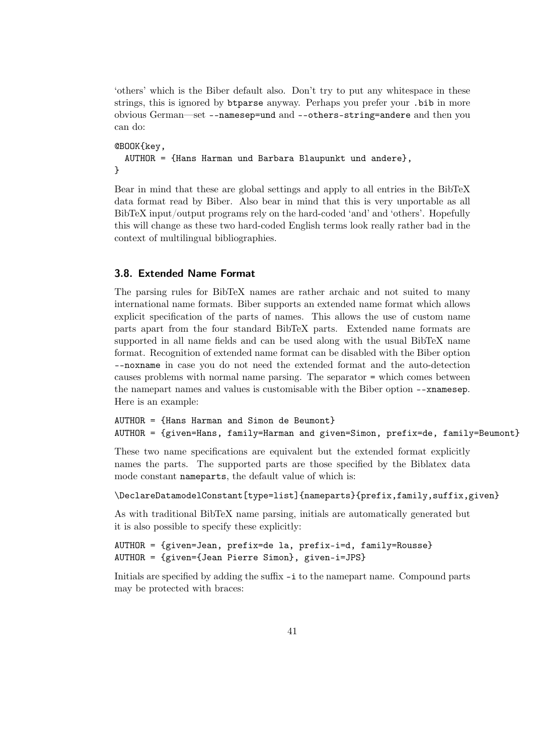<span id="page-40-0"></span>'others' which is the Biber default also. Don't try to put any whitespace in these strings, this is ignored by btparse anyway. Perhaps you prefer your .bib in more obvious German—set --namesep=und and --others-string=andere and then you can do:

```
@BOOK{key,
  AUTHOR = {Hans Harman und Barbara Blaupunkt und andere},
}
```
Bear in mind that these are global settings and apply to all entries in the BibTeX data format read by Biber. Also bear in mind that this is very unportable as all BibTeX input/output programs rely on the hard-coded 'and' and 'others'. Hopefully this will change as these two hard-coded English terms look really rather bad in the context of multilingual bibliographies.

## **3.8. Extended Name Format**

The parsing rules for BibTeX names are rather archaic and not suited to many international name formats. Biber supports an extended name format which allows explicit specification of the parts of names. This allows the use of custom name parts apart from the four standard BibTeX parts. Extended name formats are supported in all name fields and can be used along with the usual BibTeX name format. Recognition of extended name format can be disabled with the Biber option --noxname in case you do not need the extended format and the auto-detection causes problems with normal name parsing. The separator = which comes between the namepart names and values is customisable with the Biber option --xnamesep. Here is an example:

```
AUTHOR = {Hans Harman and Simon de Beumont}
AUTHOR = {given=Hans, family=Harman and given=Simon, prefix=de, family=Beumont}
```
These two name specifications are equivalent but the extended format explicitly names the parts. The supported parts are those specified by the Biblatex data mode constant nameparts, the default value of which is:

```
\DeclareDatamodelConstant[type=list]{nameparts}{prefix,family,suffix,given}
```
As with traditional BibTeX name parsing, initials are automatically generated but it is also possible to specify these explicitly:

```
AUTHOR = {given=Jean, prefix=de la, prefix-i=d, family=Rousse}
AUTHOR = {given={Jean Pierre Simon}, given-i=JPS}
```
Initials are specified by adding the suffix  $-i$  to the namepart name. Compound parts may be protected with braces: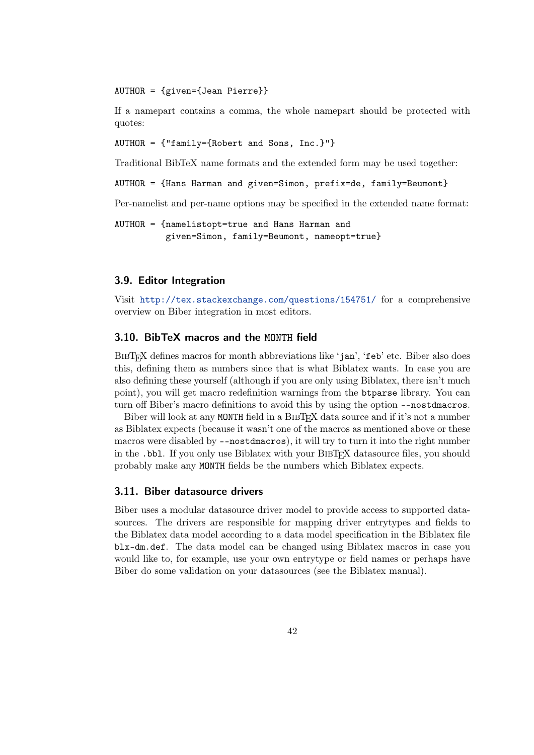#### <span id="page-41-0"></span>AUTHOR = {given={Jean Pierre}}

If a namepart contains a comma, the whole namepart should be protected with quotes:

AUTHOR = {"family={Robert and Sons, Inc.}"}

Traditional BibTeX name formats and the extended form may be used together:

AUTHOR = {Hans Harman and given=Simon, prefix=de, family=Beumont}

Per-namelist and per-name options may be specified in the extended name format:

```
AUTHOR = {namelistopt=true and Hans Harman and
          given=Simon, family=Beumont, nameopt=true}
```
#### **3.9. Editor Integration**

Visit <http://tex.stackexchange.com/questions/154751/> for a comprehensive overview on Biber integration in most editors.

## **3.10. BibTeX macros and the MONTH field**

BIBTEX defines macros for month abbreviations like 'jan', 'feb' etc. Biber also does this, defining them as numbers since that is what Biblatex wants. In case you are also defining these yourself (although if you are only using Biblatex, there isn't much point), you will get macro redefinition warnings from the btparse library. You can turn off Biber's macro definitions to avoid this by using the option --nostdmacros.

Biber will look at any MONTH field in a BIBTEX data source and if it's not a number as Biblatex expects (because it wasn't one of the macros as mentioned above or these macros were disabled by --nostdmacros), it will try to turn it into the right number in the .bbl. If you only use Biblatex with your BIBTEX datasource files, you should probably make any MONTH fields be the numbers which Biblatex expects.

## **3.11. Biber datasource drivers**

Biber uses a modular datasource driver model to provide access to supported datasources. The drivers are responsible for mapping driver entrytypes and fields to the Biblatex data model according to a data model specification in the Biblatex file blx-dm.def. The data model can be changed using Biblatex macros in case you would like to, for example, use your own entrytype or field names or perhaps have Biber do some validation on your datasources (see the Biblatex manual).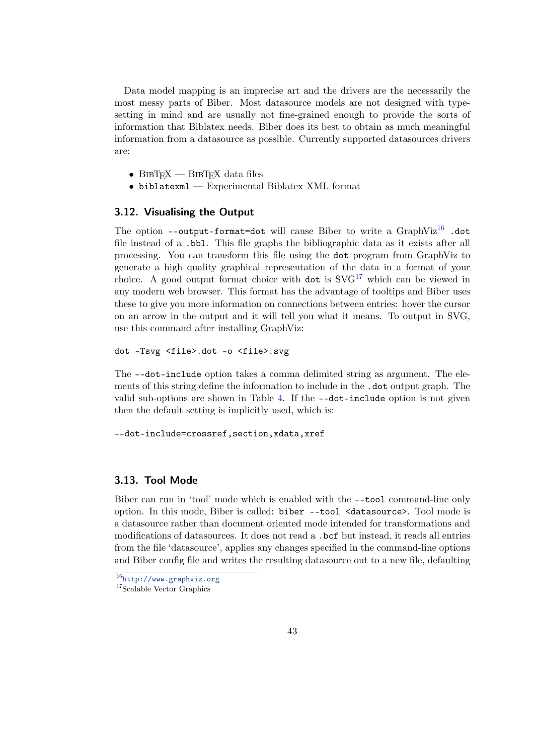<span id="page-42-0"></span>Data model mapping is an imprecise art and the drivers are the necessarily the most messy parts of Biber. Most datasource models are not designed with typesetting in mind and are usually not fine-grained enough to provide the sorts of information that Biblatex needs. Biber does its best to obtain as much meaningful information from a datasource as possible. Currently supported datasources drivers are:

- $BIBTFX$   $BIBTFX$  data files
- biblatexml Experimental Biblatex XML format

## **3.12. Visualising the Output**

The option --output-format=dot will cause Biber to write a  $GraphViz^{16}$  .dot file instead of a .bbl. This file graphs the bibliographic data as it exists after all processing. You can transform this file using the dot program from GraphViz to generate a high quality graphical representation of the data in a format of your choice. A good output format choice with dot is  $SFG^{17}$  which can be viewed in any modern web browser. This format has the advantage of tooltips and Biber uses these to give you more information on connections between entries: hover the cursor on an arrow in the output and it will tell you what it means. To output in SVG, use this command after installing GraphViz:

dot -Tsvg <file>.dot -o <file>.svg

The --dot-include option takes a comma delimited string as argument. The elements of this string define the information to include in the .dot output graph. The valid sub-options are shown in Table [4.](#page-43-0) If the --dot-include option is not given then the default setting is implicitly used, which is:

--dot-include=crossref,section,xdata,xref

#### **3.13. Tool Mode**

Biber can run in 'tool' mode which is enabled with the --tool command-line only option. In this mode, Biber is called: biber --tool <datasource>. Tool mode is a datasource rather than document oriented mode intended for transformations and modifications of datasources. It does not read a .bcf but instead, it reads all entries from the file 'datasource', applies any changes specified in the command-line options and Biber config file and writes the resulting datasource out to a new file, defaulting

<sup>16</sup><http://www.graphviz.org>

<sup>&</sup>lt;sup>17</sup>Scalable Vector Graphics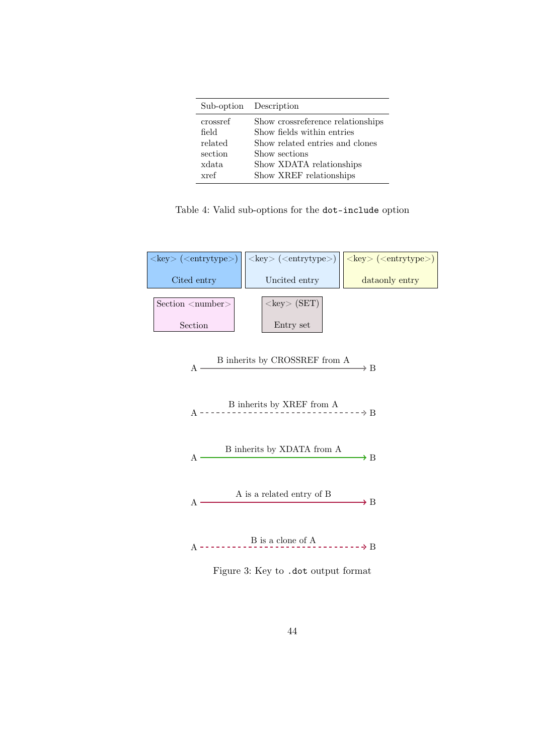<span id="page-43-0"></span>

|          | Sub-option Description             |
|----------|------------------------------------|
| crossref | Show cross reference relationships |
| field    | Show fields within entries         |
| related  | Show related entries and clones    |
| section  | Show sections                      |
| xdata    | Show XDATA relationships           |
| xref     | Show XREF relationships            |

Table 4: Valid sub-options for the dot-include option



Figure 3: Key to .dot output format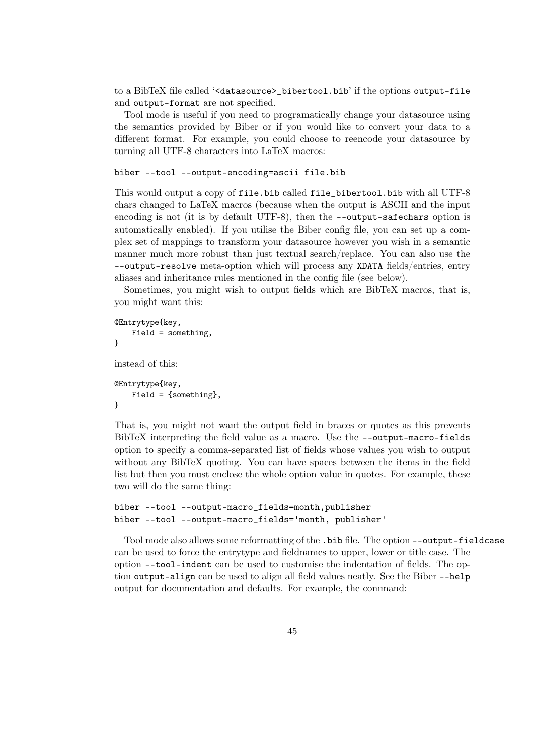to a BibTeX file called '<datasource>\_bibertool.bib' if the options output-file and output-format are not specified.

Tool mode is useful if you need to programatically change your datasource using the semantics provided by Biber or if you would like to convert your data to a different format. For example, you could choose to reencode your datasource by turning all UTF-8 characters into LaTeX macros:

```
biber --tool --output-encoding=ascii file.bib
```
This would output a copy of file.bib called file\_bibertool.bib with all UTF-8 chars changed to LaTeX macros (because when the output is ASCII and the input encoding is not (it is by default UTF-8), then the --output-safechars option is automatically enabled). If you utilise the Biber config file, you can set up a complex set of mappings to transform your datasource however you wish in a semantic manner much more robust than just textual search/replace. You can also use the --output-resolve meta-option which will process any XDATA fields/entries, entry aliases and inheritance rules mentioned in the config file (see below).

Sometimes, you might wish to output fields which are BibTeX macros, that is, you might want this:

```
@Entrytype{key,
    Field = something,
}
instead of this:
@Entrytype{key,
    Field = {something},
}
```
That is, you might not want the output field in braces or quotes as this prevents BibTeX interpreting the field value as a macro. Use the --output-macro-fields option to specify a comma-separated list of fields whose values you wish to output without any BibTeX quoting. You can have spaces between the items in the field list but then you must enclose the whole option value in quotes. For example, these two will do the same thing:

```
biber --tool --output-macro_fields=month,publisher
biber --tool --output-macro_fields='month, publisher'
```
Tool mode also allows some reformatting of the .bib file. The option --output-fieldcase can be used to force the entrytype and fieldnames to upper, lower or title case. The option --tool-indent can be used to customise the indentation of fields. The option output-align can be used to align all field values neatly. See the Biber --help output for documentation and defaults. For example, the command: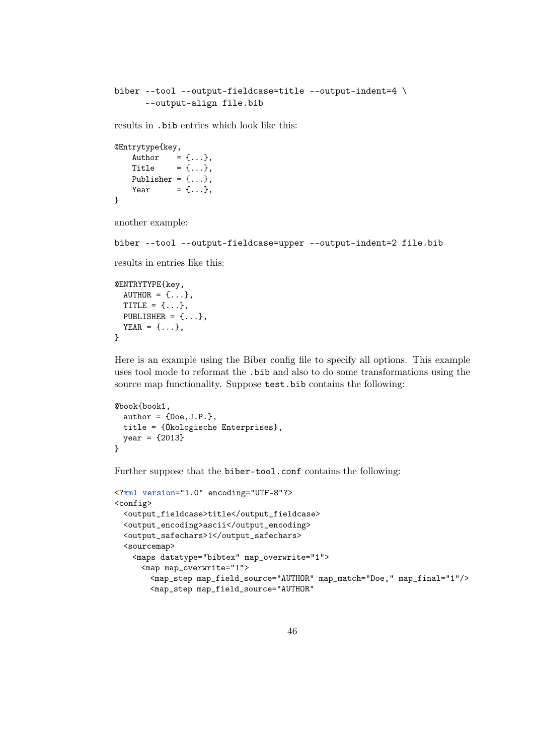```
biber --tool --output-fieldcase=title --output-indent=4 \
      --output-align file.bib
```
results in .bib entries which look like this:

```
@Entrytype{key,
    Author = \{ \ldots \},\Title = \{ \ldots \},\Publisher = \{ \ldots \},Year = \{ \ldots \},
}
```
another example:

```
biber --tool --output-fieldcase=upper --output-indent=2 file.bib
```
results in entries like this:

```
@ENTRYTYPE{key,
  AUTHOR = \{ \ldots \},
  TITLE = \{ \ldots \},PUBLISHER = {...},
  YEAR = \{ \ldots \},}
```
Here is an example using the Biber config file to specify all options. This example uses tool mode to reformat the .bib and also to do some transformations using the source map functionality. Suppose test.bib contains the following:

```
@book{book1,
 author = \{Doc, J.P.\},title = {Ökologische Enterprises},
 year = {2013}
}
```
Further suppose that the biber-tool.conf contains the following:

```
<?xml version="1.0" encoding="UTF-8"?>
<config>
 <output_fieldcase>title</output_fieldcase>
 <output_encoding>ascii</output_encoding>
 <output_safechars>1</output_safechars>
 <sourcemap>
   <maps datatype="bibtex" map_overwrite="1">
     <map map_overwrite="1">
       <map_step map_field_source="AUTHOR" map_match="Doe," map_final="1"/>
       <map_step map_field_source="AUTHOR"
```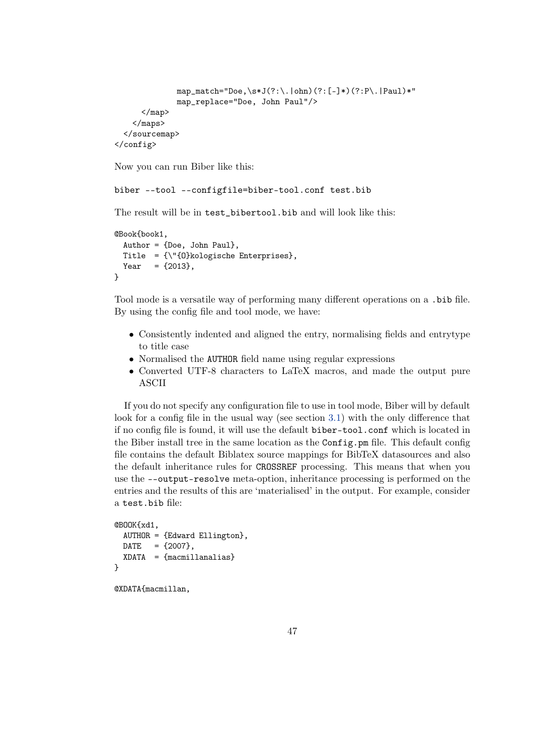```
map_match="Doe,\s*J(?:\).|ohn)(?:[-]*)(?:P\).|Paul)*"
              map_replace="Doe, John Paul"/>
      </map>
    </maps>
  </sourcemap>
</config>
```
Now you can run Biber like this:

biber --tool --configfile=biber-tool.conf test.bib

The result will be in test\_bibertool.bib and will look like this:

```
@Book{book1,
 Author = {Doe, John Paul},
 Title = {\"{O}kologische Enterprises},
 Year = {2013},
}
```
Tool mode is a versatile way of performing many different operations on a .bib file. By using the config file and tool mode, we have:

- Consistently indented and aligned the entry, normalising fields and entrytype to title case
- Normalised the AUTHOR field name using regular expressions
- Converted UTF-8 characters to LaTeX macros, and made the output pure ASCII

If you do not specify any configuration file to use in tool mode, Biber will by default look for a config file in the usual way (see section [3.1\)](#page-9-0) with the only difference that if no config file is found, it will use the default biber-tool.conf which is located in the Biber install tree in the same location as the Config.pm file. This default config file contains the default Biblatex source mappings for BibTeX datasources and also the default inheritance rules for CROSSREF processing. This means that when you use the --output-resolve meta-option, inheritance processing is performed on the entries and the results of this are 'materialised' in the output. For example, consider a test.bib file:

```
@BOOK{xd1,
 AUTHOR = {Edward Ellington},
 \text{DATE} = \{2007\},\XDATA = {maximum}
```
@XDATA{macmillan,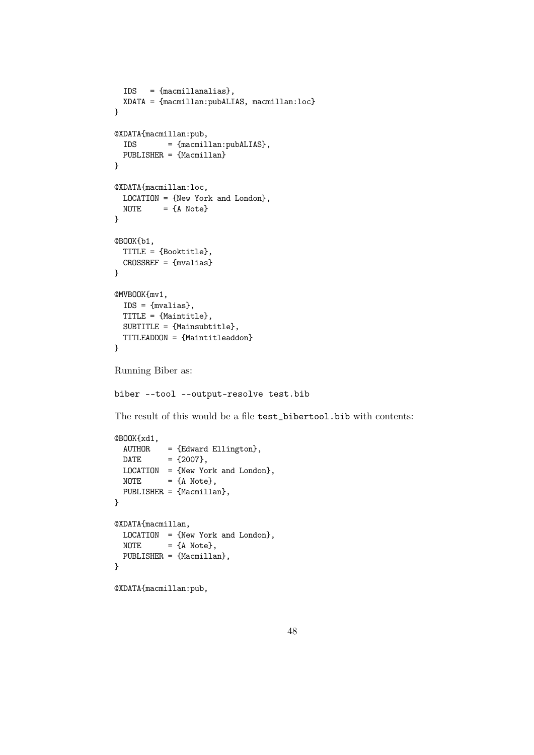```
IDS = {macmillanalias},
 XDATA = {macmillan:pubALIAS, macmillan:loc}
}
@XDATA{macmillan:pub,
 IDS = {macmillan:pubALIAS},
 PUBLISHER = {Macmillan}
}
@XDATA{macmillan:loc,
 LOCATION = {New York and London},
 NOTE = {A Note}
}
@BOOK{b1,
 TITLE = {Booktitle},
 CROSSREF = {mvalias}
}
@MVBOOK{mv1,
 IDS = {mvalias},
 TITLE = {Maintitle},
 SUBTITLE = {Mainsubtitle},
 TITLEADDON = {Maintitleaddon}
}
Running Biber as:
biber --tool --output-resolve test.bib
The result of this would be a file test_bibertool.bib with contents:
@BOOK{xd1,
 AUTHOR = {Edward Ellington},
 \text{DATE} = \{2007\},\LOGATION = {New York and London},
 NOTE = {A Note},
 PUBLISHER = {Macmillan},
}
@XDATA{macmillan,
 LOCATION = {New York and London},
 NOTE = {A Note},
 PUBLISHER = {Macmillan},
}
@XDATA{macmillan:pub,
```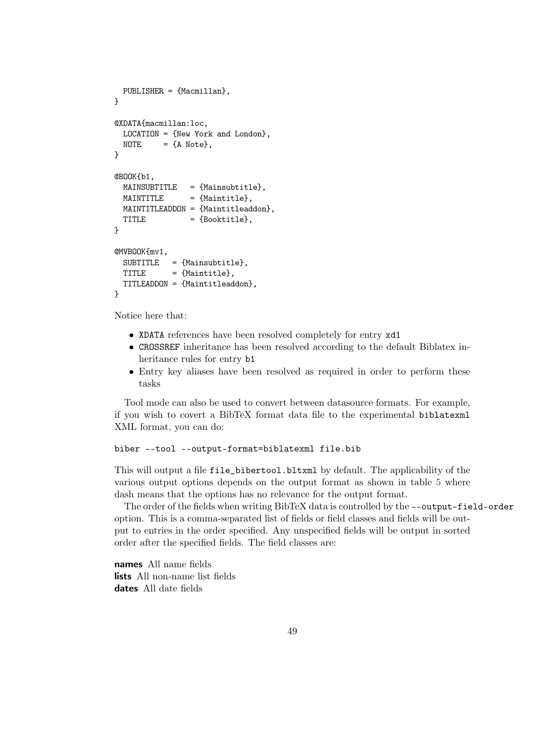```
PUBLISHER = {Macmillan},
}
@XDATA{macmillan:loc,
 LOCATION = {New York and London},
 NOTE = {A Note},
}
@BOOK{b1,
 MAINSUBTIME = {Mainsubtitle},
 MATNTITE = {Maintitle},
 MAINTITLEADDON = {Maintitleaddon},
  \begin{aligned}\n\text{TIME} \quad &= \{\text{Booktitle}\},\n\end{aligned}}
@MVBOOK{mv1,
  SUBTIME = {Mainsubtitle},
 TITLE = {Maintitle},
  TITLEADDON = {Maintitleaddon},
}
```
Notice here that:

- XDATA references have been resolved completely for entry xd1
- CROSSREF inheritance has been resolved according to the default Biblatex inheritance rules for entry b1
- Entry key aliases have been resolved as required in order to perform these tasks

Tool mode can also be used to convert between datasource formats. For example, if you wish to covert a BibTeX format data file to the experimental biblatexml XML format, you can do:

```
biber --tool --output-format=biblatexml file.bib
```
This will output a file file\_bibertool.bltxml by default. The applicability of the various output options depends on the output format as shown in table [5](#page-49-0) where dash means that the options has no relevance for the output format.

The order of the fields when writing BibTeX data is controlled by the --output-field-order option. This is a comma-separated list of fields or field classes and fields will be output to entries in the order specified. Any unspecified fields will be output in sorted order after the specified fields. The field classes are:

**names** All name fields **lists** All non-name list fields **dates** All date fields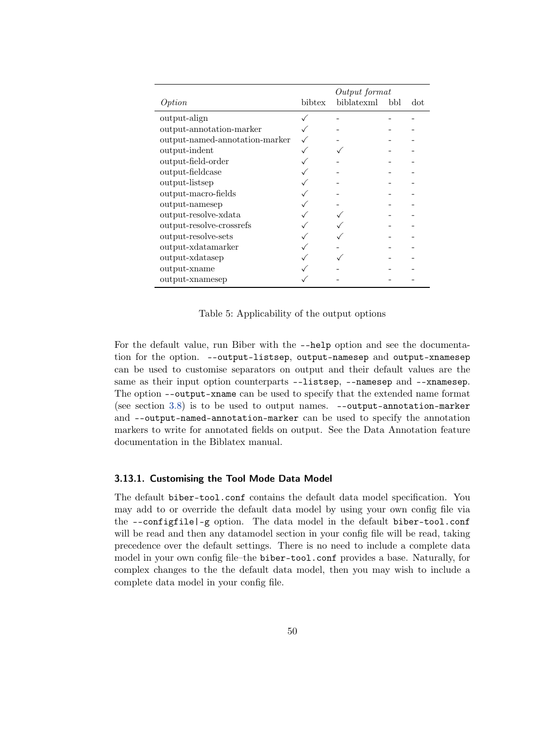<span id="page-49-0"></span>

|                                |        | Output format |     |     |
|--------------------------------|--------|---------------|-----|-----|
| Option                         | bibtex | biblatexml    | bbl | dot |
| output-align                   |        |               |     |     |
| output-annotation-marker       |        |               |     |     |
| output-named-annotation-marker |        |               |     |     |
| output-indent                  |        |               |     |     |
| output-field-order             |        |               |     |     |
| output-fieldcase               |        |               |     |     |
| output-listsep                 |        |               |     |     |
| output-macro-fields            |        |               |     |     |
| output-namesep                 |        |               |     |     |
| output-resolve-xdata           |        |               |     |     |
| output-resolve-crossrefs       |        |               |     |     |
| output-resolve-sets            |        |               |     |     |
| output-xdatamarker             |        |               |     |     |
| output-xdatasep                |        |               |     |     |
| output-xname                   |        |               |     |     |
| output-xnamesep                |        |               |     |     |

Table 5: Applicability of the output options

For the default value, run Biber with the --help option and see the documentation for the option. --output-listsep, output-namesep and output-xnamesep can be used to customise separators on output and their default values are the same as their input option counterparts --listsep, --namesep and --xnamesep. The option --output-xname can be used to specify that the extended name format (see section [3.8\)](#page-40-0) is to be used to output names. --output-annotation-marker and --output-named-annotation-marker can be used to specify the annotation markers to write for annotated fields on output. See the Data Annotation feature documentation in the Biblatex manual.

#### **3.13.1. Customising the Tool Mode Data Model**

The default biber-tool.conf contains the default data model specification. You may add to or override the default data model by using your own config file via the --configfile|-g option. The data model in the default biber-tool.conf will be read and then any datamodel section in your config file will be read, taking precedence over the default settings. There is no need to include a complete data model in your own config file–the biber-tool.conf provides a base. Naturally, for complex changes to the the default data model, then you may wish to include a complete data model in your config file.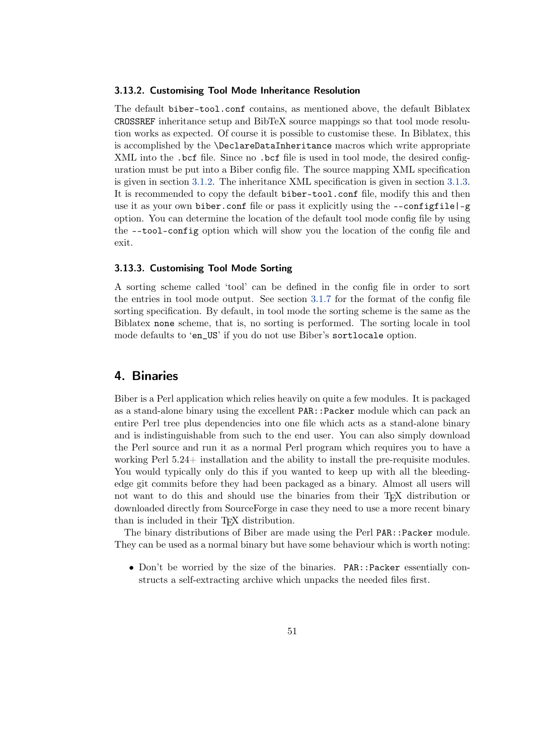#### <span id="page-50-0"></span>**3.13.2. Customising Tool Mode Inheritance Resolution**

The default biber-tool.conf contains, as mentioned above, the default Biblatex CROSSREF inheritance setup and BibTeX source mappings so that tool mode resolution works as expected. Of course it is possible to customise these. In Biblatex, this is accomplished by the \DeclareDataInheritance macros which write appropriate XML into the .bcf file. Since no .bcf file is used in tool mode, the desired configuration must be put into a Biber config file. The source mapping XML specification is given in section [3.1.2.](#page-14-0) The inheritance XML specification is given in section [3.1.3.](#page-22-0) It is recommended to copy the default biber-tool.conf file, modify this and then use it as your own biber.conf file or pass it explicitly using the  $--$ configfile $|-g$ option. You can determine the location of the default tool mode config file by using the --tool-config option which will show you the location of the config file and exit.

#### **3.13.3. Customising Tool Mode Sorting**

A sorting scheme called 'tool' can be defined in the config file in order to sort the entries in tool mode output. See section [3.1.7](#page-26-0) for the format of the config file sorting specification. By default, in tool mode the sorting scheme is the same as the Biblatex none scheme, that is, no sorting is performed. The sorting locale in tool mode defaults to 'en\_US' if you do not use Biber's sortlocale option.

## **4. Binaries**

Biber is a Perl application which relies heavily on quite a few modules. It is packaged as a stand-alone binary using the excellent PAR::Packer module which can pack an entire Perl tree plus dependencies into one file which acts as a stand-alone binary and is indistinguishable from such to the end user. You can also simply download the Perl source and run it as a normal Perl program which requires you to have a working Perl 5.24+ installation and the ability to install the pre-requisite modules. You would typically only do this if you wanted to keep up with all the bleedingedge git commits before they had been packaged as a binary. Almost all users will not want to do this and should use the binaries from their TEX distribution or downloaded directly from SourceForge in case they need to use a more recent binary than is included in their TEX distribution.

The binary distributions of Biber are made using the Perl PAR:: Packer module. They can be used as a normal binary but have some behaviour which is worth noting:

• Don't be worried by the size of the binaries. PAR::Packer essentially constructs a self-extracting archive which unpacks the needed files first.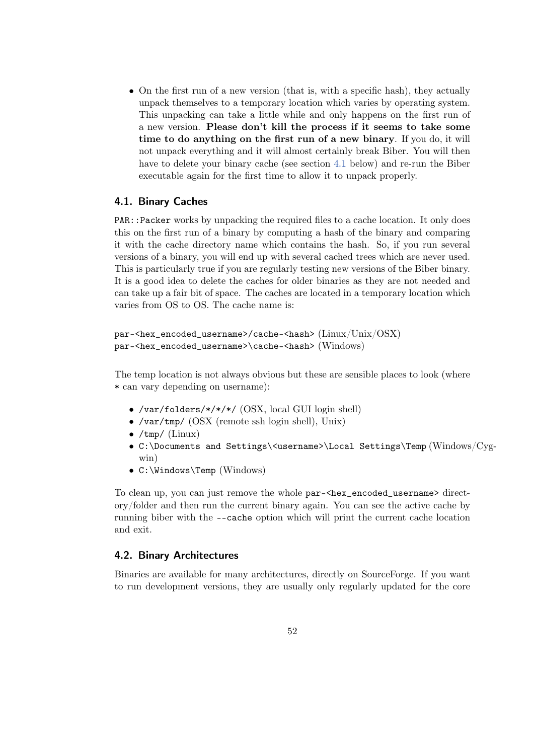<span id="page-51-0"></span>• On the first run of a new version (that is, with a specific hash), they actually unpack themselves to a temporary location which varies by operating system. This unpacking can take a little while and only happens on the first run of a new version. **Please don't kill the process if it seems to take some time to do anything on the first run of a new binary**. If you do, it will not unpack everything and it will almost certainly break Biber. You will then have to delete your binary cache (see section 4.1 below) and re-run the Biber executable again for the first time to allow it to unpack properly.

## **4.1. Binary Caches**

PAR::Packer works by unpacking the required files to a cache location. It only does this on the first run of a binary by computing a hash of the binary and comparing it with the cache directory name which contains the hash. So, if you run several versions of a binary, you will end up with several cached trees which are never used. This is particularly true if you are regularly testing new versions of the Biber binary. It is a good idea to delete the caches for older binaries as they are not needed and can take up a fair bit of space. The caches are located in a temporary location which varies from OS to OS. The cache name is:

```
par-<hex_encoded_username>/cache-<hash> (Linux/Unix/OSX)
par-<hex_encoded_username>\cache-<hash> (Windows)
```
The temp location is not always obvious but these are sensible places to look (where \* can vary depending on username):

- /var/folders/\*/\*/\*/ (OSX, local GUI login shell)
- /var/tmp/ (OSX (remote ssh login shell), Unix)
- $/\text{tmp}/(\text{Linux})$
- C:\Documents and Settings\<username>\Local Settings\Temp (Windows/Cygwin)
- C:\Windows\Temp (Windows)

To clean up, you can just remove the whole par- $\epsilon$ hex\_encoded\_username> directory/folder and then run the current binary again. You can see the active cache by running biber with the --cache option which will print the current cache location and exit.

## **4.2. Binary Architectures**

Binaries are available for many architectures, directly on SourceForge. If you want to run development versions, they are usually only regularly updated for the core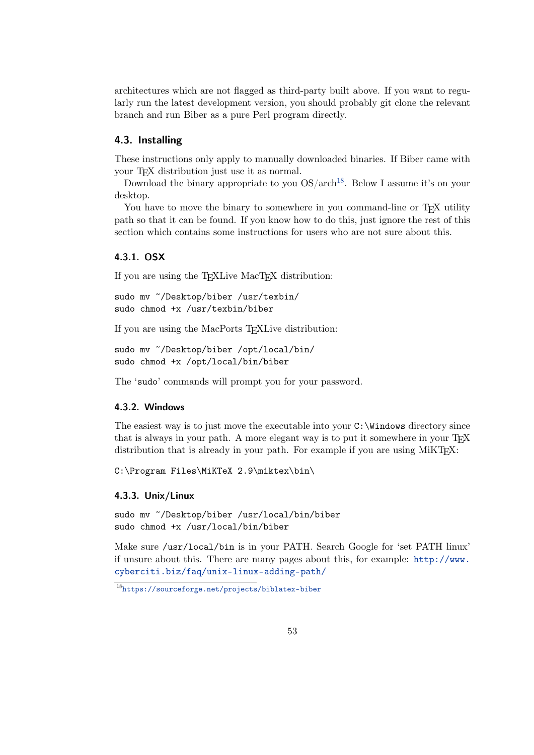<span id="page-52-0"></span>architectures which are not flagged as third-party built above. If you want to regularly run the latest development version, you should probably git clone the relevant branch and run Biber as a pure Perl program directly.

## **4.3. Installing**

These instructions only apply to manually downloaded binaries. If Biber came with your T<sub>E</sub>X distribution just use it as normal.

Download the binary appropriate to you  $OS/arch^{18}$ . Below I assume it's on your desktop.

You have to move the binary to somewhere in you command-line or T<sub>EX</sub> utility path so that it can be found. If you know how to do this, just ignore the rest of this section which contains some instructions for users who are not sure about this.

#### **4.3.1. OSX**

If you are using the TEXLive MacTEX distribution:

```
sudo mv ~/Desktop/biber /usr/texbin/
sudo chmod +x /usr/texbin/biber
```
If you are using the MacPorts TEXLive distribution:

```
sudo mv ~/Desktop/biber /opt/local/bin/
sudo chmod +x /opt/local/bin/biber
```
The 'sudo' commands will prompt you for your password.

#### **4.3.2. Windows**

The easiest way is to just move the executable into your  $C:\W$  indows directory since that is always in your path. A more elegant way is to put it somewhere in your TFX distribution that is already in your path. For example if you are using  $M_i$ KT<sub>EX</sub>:

C:\Program Files\MiKTeX 2.9\miktex\bin\

#### **4.3.3. Unix/Linux**

sudo mv ~/Desktop/biber /usr/local/bin/biber sudo chmod +x /usr/local/bin/biber

Make sure /usr/local/bin is in your PATH. Search Google for 'set PATH linux' if unsure about this. There are many pages about this, for example: [http://www.](http://www.cyberciti.biz/faq/unix-linux-adding-path/) [cyberciti.biz/faq/unix-linux-adding-path/](http://www.cyberciti.biz/faq/unix-linux-adding-path/)

<sup>18</sup><https://sourceforge.net/projects/biblatex-biber>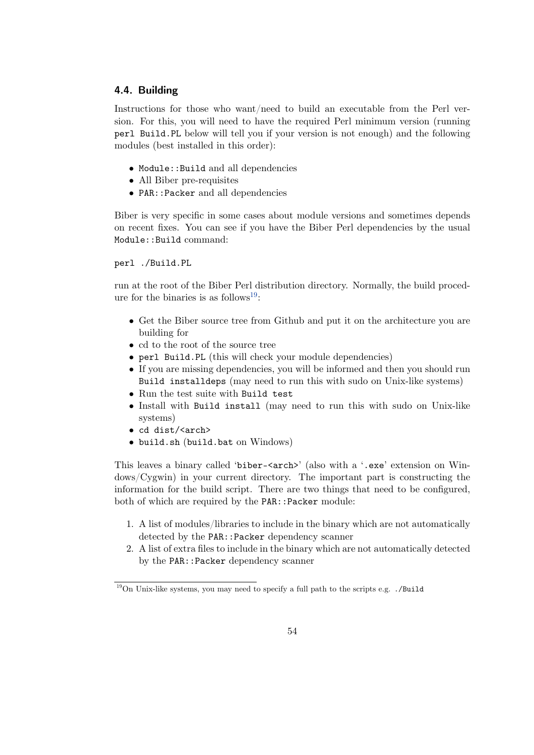## <span id="page-53-0"></span>**4.4. Building**

Instructions for those who want/need to build an executable from the Perl version. For this, you will need to have the required Perl minimum version (running perl Build.PL below will tell you if your version is not enough) and the following modules (best installed in this order):

- Module::Build and all dependencies
- All Biber pre-requisites
- PAR::Packer and all dependencies

Biber is very specific in some cases about module versions and sometimes depends on recent fixes. You can see if you have the Biber Perl dependencies by the usual Module::Build command:

perl ./Build.PL

run at the root of the Biber Perl distribution directory. Normally, the build procedure for the binaries is as follows<sup>19</sup>:

- Get the Biber source tree from Github and put it on the architecture you are building for
- cd to the root of the source tree
- perl Build.PL (this will check your module dependencies)
- If you are missing dependencies, you will be informed and then you should run Build installdeps (may need to run this with sudo on Unix-like systems)
- Run the test suite with Build test
- Install with Build install (may need to run this with sudo on Unix-like systems)
- cd dist/<arch>
- build.sh (build.bat on Windows)

This leaves a binary called 'biber- $\langle$ arch>' (also with a '.exe' extension on Windows/Cygwin) in your current directory. The important part is constructing the information for the build script. There are two things that need to be configured, both of which are required by the PAR::Packer module:

- 1. A list of modules/libraries to include in the binary which are not automatically detected by the PAR::Packer dependency scanner
- 2. A list of extra files to include in the binary which are not automatically detected by the PAR:: Packer dependency scanner

 $19$ On Unix-like systems, you may need to specify a full path to the scripts e.g.  $\cdot$ /Build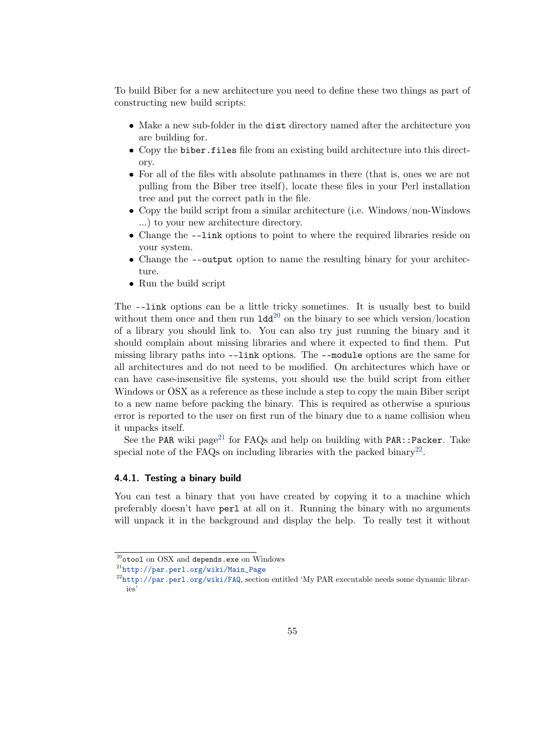To build Biber for a new architecture you need to define these two things as part of constructing new build scripts:

- Make a new sub-folder in the dist directory named after the architecture you are building for.
- Copy the biber.files file from an existing build architecture into this directory.
- For all of the files with absolute pathnames in there (that is, ones we are not pulling from the Biber tree itself), locate these files in your Perl installation tree and put the correct path in the file.
- Copy the build script from a similar architecture (i.e. Windows/non-Windows …) to your new architecture directory.
- Change the --link options to point to where the required libraries reside on your system.
- Change the --output option to name the resulting binary for your architecture.
- Run the build script

The --link options can be a little tricky sometimes. It is usually best to build without them once and then run  $1d^{20}$  on the binary to see which version/location of a library you should link to. You can also try just running the binary and it should complain about missing libraries and where it expected to find them. Put missing library paths into --link options. The --module options are the same for all architectures and do not need to be modified. On architectures which have or can have case-insensitive file systems, you should use the build script from either Windows or OSX as a reference as these include a step to copy the main Biber script to a new name before packing the binary. This is required as otherwise a spurious error is reported to the user on first run of the binary due to a name collision when it unpacks itself.

See the PAR wiki page<sup>21</sup> for FAQs and help on building with PAR::Packer. Take special note of the FAQs on including libraries with the packed binary<sup>22</sup>.

#### **4.4.1. Testing a binary build**

You can test a binary that you have created by copying it to a machine which preferably doesn't have perl at all on it. Running the binary with no arguments will unpack it in the background and display the help. To really test it without

 $^{20}$ otool on OSX and depends.exe on Windows

<sup>21</sup>[http://par.perl.org/wiki/Main\\_Page](http://par.perl.org/wiki/Main_Page)

<sup>22</sup><http://par.perl.org/wiki/FAQ>, section entitled 'My PAR executable needs some dynamic librar $i_{\alpha}$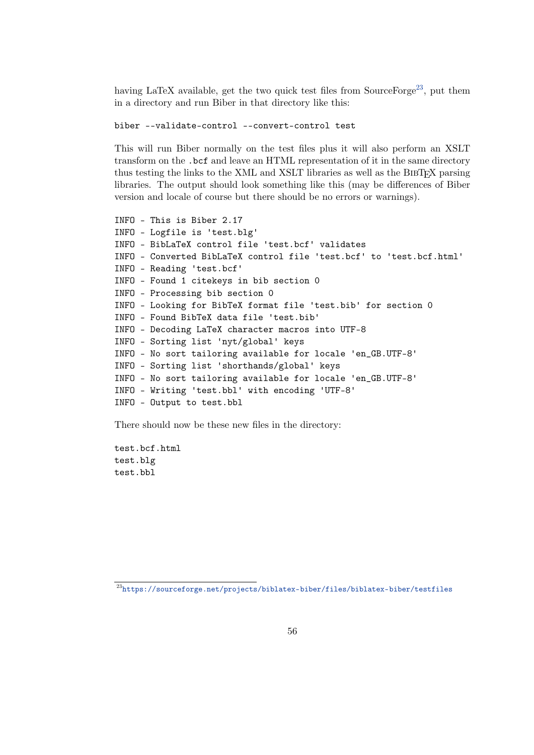having LaTeX available, get the two quick test files from SourceForge<sup>23</sup>, put them in a directory and run Biber in that directory like this:

biber --validate-control --convert-control test

This will run Biber normally on the test files plus it will also perform an XSLT transform on the .bcf and leave an HTML representation of it in the same directory thus testing the links to the XML and XSLT libraries as well as the BIBT<sub>EX</sub> parsing libraries. The output should look something like this (may be differences of Biber version and locale of course but there should be no errors or warnings).

```
INFO - This is Biber 2.17
INFO - Logfile is 'test.blg'
INFO - BibLaTeX control file 'test.bcf' validates
INFO - Converted BibLaTeX control file 'test.bcf' to 'test.bcf.html'
INFO - Reading 'test.bcf'
INFO - Found 1 citekeys in bib section 0
INFO - Processing bib section 0
INFO - Looking for BibTeX format file 'test.bib' for section 0
INFO - Found BibTeX data file 'test.bib'
INFO - Decoding LaTeX character macros into UTF-8
INFO - Sorting list 'nyt/global' keys
INFO - No sort tailoring available for locale 'en_GB.UTF-8'
INFO - Sorting list 'shorthands/global' keys
INFO - No sort tailoring available for locale 'en_GB.UTF-8'
INFO - Writing 'test.bbl' with encoding 'UTF-8'
INFO - Output to test.bbl
```
There should now be these new files in the directory:

test.bcf.html test.blg test.bbl

 $^{23}{\rm https://source forge.net/projects/biblatex-biber/files/biblatex-biber/testfiles}$